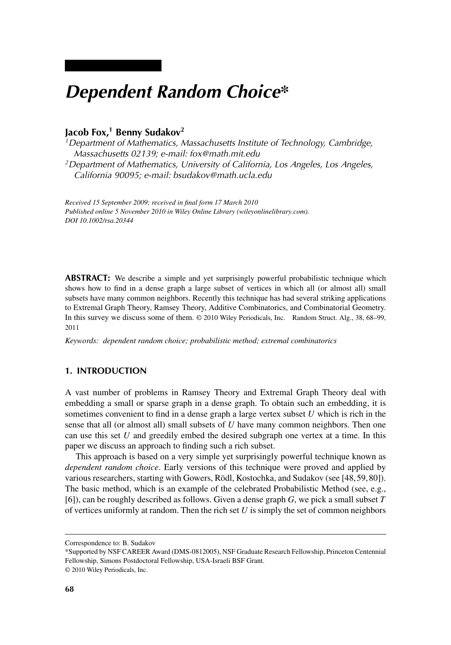# *Dependent Random Choice\**

# **Jacob Fox,1 Benny Sudakov2**

*1Department of Mathematics, Massachusetts Institute of Technology, Cambridge, Massachusetts 02139; e-mail: fox@math.mit.edu*

*2Department of Mathematics, University of California, Los Angeles, Los Angeles, California 90095; e-mail: bsudakov@math.ucla.edu*

*Received 15 September 2009; received in final form 17 March 2010 Published online 5 November 2010 in Wiley Online Library (wileyonlinelibrary.com). DOI 10.1002/rsa.20344*

**ABSTRACT:** We describe a simple and yet surprisingly powerful probabilistic technique which shows how to find in a dense graph a large subset of vertices in which all (or almost all) small subsets have many common neighbors. Recently this technique has had several striking applications to Extremal Graph Theory, Ramsey Theory, Additive Combinatorics, and Combinatorial Geometry. In this survey we discuss some of them. © 2010 Wiley Periodicals, Inc. Random Struct. Alg., 38, 68–99, 2011

*Keywords: dependent random choice; probabilistic method; extremal combinatorics*

# **1. INTRODUCTION**

A vast number of problems in Ramsey Theory and Extremal Graph Theory deal with embedding a small or sparse graph in a dense graph. To obtain such an embedding, it is sometimes convenient to find in a dense graph a large vertex subset *U* which is rich in the sense that all (or almost all) small subsets of *U* have many common neighbors. Then one can use this set *U* and greedily embed the desired subgraph one vertex at a time. In this paper we discuss an approach to finding such a rich subset.

This approach is based on a very simple yet surprisingly powerful technique known as *dependent random choice*. Early versions of this technique were proved and applied by various researchers, starting with Gowers, Rödl, Kostochka, and Sudakov (see [48, 59, 80]). The basic method, which is an example of the celebrated Probabilistic Method (see, e.g., [6]), can be roughly described as follows. Given a dense graph *G*, we pick a small subset *T* of vertices uniformly at random. Then the rich set *U* is simply the set of common neighbors

Correspondence to: B. Sudakov

<sup>\*</sup>Supported by NSF CAREER Award (DMS-0812005), NSF Graduate Research Fellowship, Princeton Centennial Fellowship, Simons Postdoctoral Fellowship, USA-Israeli BSF Grant.

<sup>© 2010</sup> Wiley Periodicals, Inc.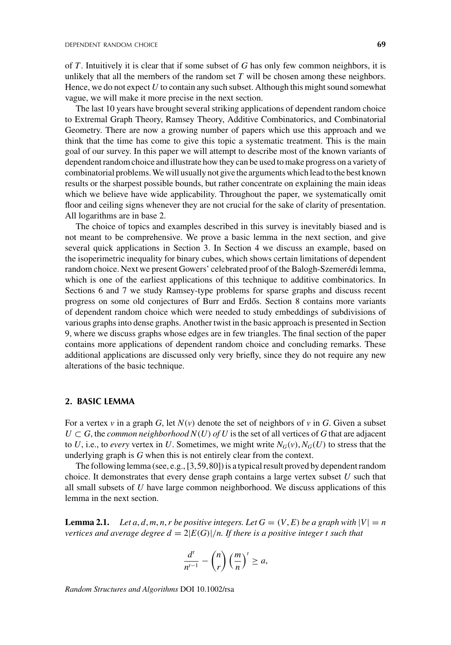of *T*. Intuitively it is clear that if some subset of *G* has only few common neighbors, it is unlikely that all the members of the random set *T* will be chosen among these neighbors. Hence, we do not expect *U* to contain any such subset. Although this might sound somewhat vague, we will make it more precise in the next section.

The last 10 years have brought several striking applications of dependent random choice to Extremal Graph Theory, Ramsey Theory, Additive Combinatorics, and Combinatorial Geometry. There are now a growing number of papers which use this approach and we think that the time has come to give this topic a systematic treatment. This is the main goal of our survey. In this paper we will attempt to describe most of the known variants of dependent random choice and illustrate how they can be used to make progress on a variety of combinatorial problems.We will usually not give the arguments which lead to the best known results or the sharpest possible bounds, but rather concentrate on explaining the main ideas which we believe have wide applicability. Throughout the paper, we systematically omit floor and ceiling signs whenever they are not crucial for the sake of clarity of presentation. All logarithms are in base 2.

The choice of topics and examples described in this survey is inevitably biased and is not meant to be comprehensive. We prove a basic lemma in the next section, and give several quick applications in Section 3. In Section 4 we discuss an example, based on the isoperimetric inequality for binary cubes, which shows certain limitations of dependent random choice. Next we present Gowers' celebrated proof of the Balogh-Szemerédi lemma, which is one of the earliest applications of this technique to additive combinatorics. In Sections 6 and 7 we study Ramsey-type problems for sparse graphs and discuss recent progress on some old conjectures of Burr and Erdős. Section 8 contains more variants of dependent random choice which were needed to study embeddings of subdivisions of various graphs into dense graphs. Another twist in the basic approach is presented in Section 9, where we discuss graphs whose edges are in few triangles. The final section of the paper contains more applications of dependent random choice and concluding remarks. These additional applications are discussed only very briefly, since they do not require any new alterations of the basic technique.

#### **2. BASIC LEMMA**

For a vertex  $v$  in a graph *G*, let  $N(v)$  denote the set of neighbors of  $v$  in *G*. Given a subset  $U \subset G$ , the *common neighborhood*  $N(U)$  *of U* is the set of all vertices of G that are adjacent to *U*, i.e., to *every* vertex in *U*. Sometimes, we might write  $N_G(v)$ ,  $N_G(U)$  to stress that the underlying graph is *G* when this is not entirely clear from the context.

The following lemma (see, e.g., [3,59,80]) is a typical result proved by dependent random choice. It demonstrates that every dense graph contains a large vertex subset *U* such that all small subsets of *U* have large common neighborhood. We discuss applications of this lemma in the next section.

**Lemma 2.1.** *Let a, d, m, n, r be positive integers. Let*  $G = (V, E)$  *be a graph with*  $|V| = n$ *vertices and average degree*  $d = 2|E(G)|/n$ *. If there is a positive integer t such that* 

$$
\frac{d^t}{n^{t-1}} - \binom{n}{r} \left(\frac{m}{n}\right)^t \ge a,
$$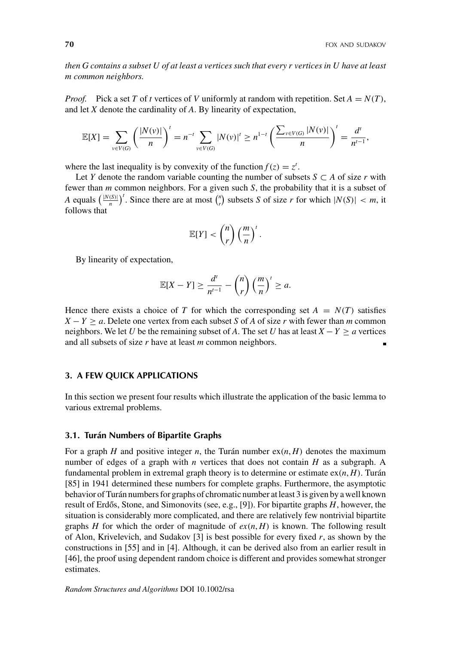*then G contains a subset U of at least a vertices such that every r vertices in U have at least m common neighbors.*

*Proof.* Pick a set *T* of *t* vertices of *V* uniformly at random with repetition. Set  $A = N(T)$ , and let *X* denote the cardinality of *A*. By linearity of expectation,

$$
\mathbb{E}[X] = \sum_{v \in V(G)} \left( \frac{|N(v)|}{n} \right)^t = n^{-t} \sum_{v \in V(G)} |N(v)|^t \geq n^{1-t} \left( \frac{\sum_{v \in V(G)} |N(v)|}{n} \right)^t = \frac{d^t}{n^{t-1}},
$$

where the last inequality is by convexity of the function  $f(z) = z^t$ .

Let *Y* denote the random variable counting the number of subsets  $S \subset A$  of size *r* with fewer than *m* common neighbors. For a given such *S*, the probability that it is a subset of *A* equals  $\left(\frac{|N(S)|}{n}\right)^t$ . Since there are at most  $\binom{n}{r}$  subsets *S* of size *r* for which  $|N(S)| < m$ , it follows that

$$
\mathbb{E}[Y] < \binom{n}{r} \left(\frac{m}{n}\right)^t.
$$

By linearity of expectation,

$$
\mathbb{E}[X-Y] \ge \frac{d^t}{n^{t-1}} - \binom{n}{r} \left(\frac{m}{n}\right)^t \ge a.
$$

Hence there exists a choice of *T* for which the corresponding set  $A = N(T)$  satisfies  $X - Y \ge a$ . Delete one vertex from each subset *S* of *A* of size *r* with fewer than *m* common neighbors. We let *U* be the remaining subset of *A*. The set *U* has at least  $X - Y \ge a$  vertices and all subsets of size *r* have at least *m* common neighbors.

# **3. A FEW QUICK APPLICATIONS**

In this section we present four results which illustrate the application of the basic lemma to various extremal problems.

# **3.1. Turán Numbers of Bipartite Graphs**

For a graph *H* and positive integer *n*, the Turán number  $ex(n, H)$  denotes the maximum number of edges of a graph with *n* vertices that does not contain *H* as a subgraph. A fundamental problem in extremal graph theory is to determine or estimate ex(*n*, *H*). Turán [85] in 1941 determined these numbers for complete graphs. Furthermore, the asymptotic behavior of Turán numbers for graphs of chromatic number at least 3 is given by a well known result of Erdős, Stone, and Simonovits (see, e.g., [9]). For bipartite graphs *H*, however, the situation is considerably more complicated, and there are relatively few nontrivial bipartite graphs *H* for which the order of magnitude of  $ex(n, H)$  is known. The following result of Alon, Krivelevich, and Sudakov  $\lceil 3 \rceil$  is best possible for every fixed r, as shown by the constructions in [55] and in [4]. Although, it can be derived also from an earlier result in [46], the proof using dependent random choice is different and provides somewhat stronger estimates.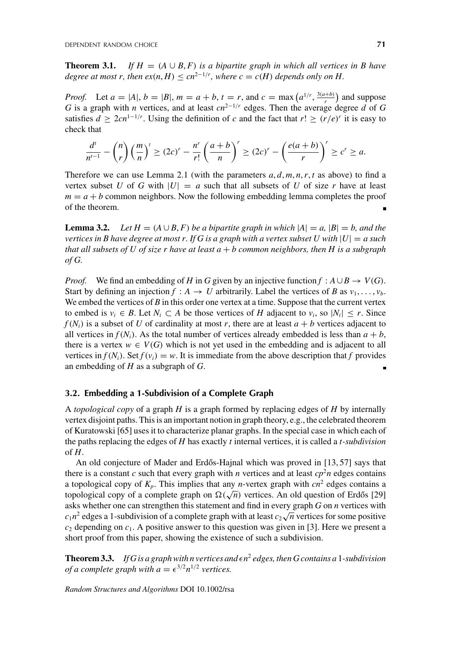**Theorem 3.1.** *If*  $H = (A \cup B, F)$  *is a bipartite graph in which all vertices in B have degree at most r, then*  $ex(n, H) \le cn^{2-1/r}$ *, where*  $c = c(H)$  *depends only on H.* 

*Proof.* Let  $a = |A|, b = |B|, m = a + b, t = r$ , and  $c = \max(a^{1/r}, \frac{3(a+b)}{r})$  and suppose *G* is a graph with *n* vertices, and at least  $cn^{2-1/r}$  edges. Then the average degree *d* of *G* satisfies  $d \geq 2cn^{1-1/r}$ . Using the definition of *c* and the fact that  $r! \geq (r/e)^r$  it is easy to check that

$$
\frac{d^t}{n^{t-1}} - \binom{n}{r} \left(\frac{m}{n}\right)^t \ge (2c)^r - \frac{n^r}{r!} \left(\frac{a+b}{n}\right)^r \ge (2c)^r - \left(\frac{e(a+b)}{r}\right)^r \ge c^r \ge a.
$$

Therefore we can use Lemma 2.1 (with the parameters  $a, d, m, n, r, t$  as above) to find a vertex subset *U* of *G* with  $|U| = a$  such that all subsets of *U* of size *r* have at least  $m = a + b$  common neighbors. Now the following embedding lemma completes the proof of the theorem.

**Lemma 3.2.** *Let*  $H = (A \cup B, F)$  *be a bipartite graph in which*  $|A| = a$ ,  $|B| = b$ *, and the vertices in B have degree at most r. If G is a graph with a vertex subset U with*  $|U| = a$  such *that all subsets of U of size r have at least a* + *b common neighbors, then H is a subgraph of G.*

*Proof.* We find an embedding of *H* in *G* given by an injective function  $f : A \cup B \rightarrow V(G)$ . Start by defining an injection  $f : A \rightarrow U$  arbitrarily. Label the vertices of *B* as  $v_1, \ldots, v_b$ . We embed the vertices of *B* in this order one vertex at a time. Suppose that the current vertex to embed is  $v_i \in B$ . Let  $N_i \subset A$  be those vertices of *H* adjacent to  $v_i$ , so  $|N_i| \leq r$ . Since  $f(N<sub>i</sub>)$  is a subset of *U* of cardinality at most *r*, there are at least  $a + b$  vertices adjacent to all vertices in  $f(N_i)$ . As the total number of vertices already embedded is less than  $a + b$ , there is a vertex  $w \in V(G)$  which is not yet used in the embedding and is adjacent to all vertices in  $f(N_i)$ . Set  $f(v_i) = w$ . It is immediate from the above description that *f* provides an embedding of *H* as a subgraph of *G*.

#### **3.2. Embedding a 1-Subdivision of a Complete Graph**

A *topological copy* of a graph *H* is a graph formed by replacing edges of *H* by internally vertex disjoint paths. This is an important notion in graph theory, e.g., the celebrated theorem of Kuratowski [65] uses it to characterize planar graphs. In the special case in which each of the paths replacing the edges of *H* has exactly *t* internal vertices, it is called a *t-subdivision* of *H*.

An old conjecture of Mader and Erdős-Hajnal which was proved in [13, 57] says that there is a constant *c* such that every graph with *n* vertices and at least  $cp<sup>2</sup>n$  edges contains a topological copy of  $K_p$ . This implies that any *n*-vertex graph with  $cn^2$  edges contains a topological copy of a complete graph on  $\Omega(\sqrt{n})$  vertices. An old question of Erdős [29] asks whether one can strengthen this statement and find in every graph *G* on *n* vertices with *c*<sub>1</sub> $n^2$  edges a 1-subdivision of a complete graph with at least  $c_2\sqrt{n}$  vertices for some positive  $c_2$  depending on  $c_1$ . A positive answer to this question was given in [3]. Here we present a short proof from this paper, showing the existence of such a subdivision.

**Theorem 3.3.** If G is a graph with n vertices and  $\epsilon n^2$  edges, then G contains a 1-subdivision *of a complete graph with*  $a = \epsilon^{3/2} n^{1/2}$  *vertices.*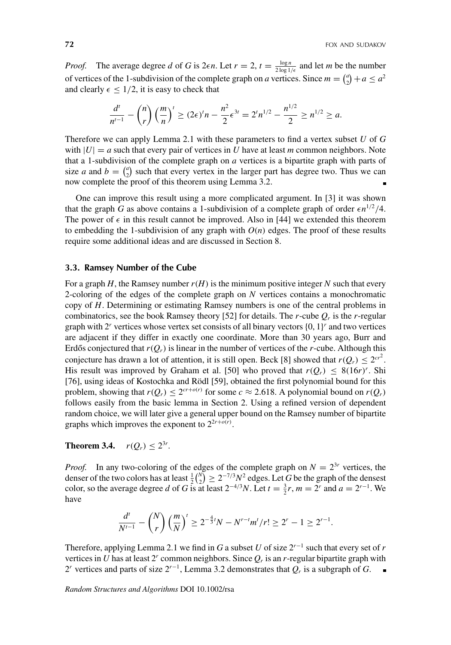*Proof.* The average degree *d* of *G* is 2 $\epsilon n$ . Let  $r = 2$ ,  $t = \frac{\log n}{2 \log 1/\epsilon}$  and let *m* be the number of vertices of the 1-subdivision of the complete graph on *a* vertices. Since  $m = \binom{a}{2} + a \le a^2$ and clearly  $\epsilon \leq 1/2$ , it is easy to check that

$$
\frac{d^{t}}{n^{t-1}} - {n \choose r} \left(\frac{m}{n}\right)^{t} \ge (2\epsilon)^{t} n - \frac{n^2}{2} \epsilon^{3t} = 2^{t} n^{1/2} - \frac{n^{1/2}}{2} \ge n^{1/2} \ge a.
$$

Therefore we can apply Lemma 2.1 with these parameters to find a vertex subset *U* of *G* with  $|U| = a$  such that every pair of vertices in *U* have at least *m* common neighbors. Note that a 1-subdivision of the complete graph on *a* vertices is a bipartite graph with parts of size *a* and  $b = \binom{a}{2}$  such that every vertex in the larger part has degree two. Thus we can now complete the proof of this theorem using Lemma 3.2.

One can improve this result using a more complicated argument. In [3] it was shown that the graph *G* as above contains a 1-subdivision of a complete graph of order  $\epsilon n^{1/2}/4$ . The power of  $\epsilon$  in this result cannot be improved. Also in [44] we extended this theorem to embedding the 1-subdivision of any graph with  $O(n)$  edges. The proof of these results require some additional ideas and are discussed in Section 8.

# **3.3. Ramsey Number of the Cube**

For a graph *H*, the Ramsey number  $r(H)$  is the minimum positive integer N such that every 2-coloring of the edges of the complete graph on *N* vertices contains a monochromatic copy of *H*. Determining or estimating Ramsey numbers is one of the central problems in combinatorics, see the book Ramsey theory [52] for details. The *r*-cube  $Q_r$  is the *r*-regular graph with  $2^r$  vertices whose vertex set consists of all binary vectors  $\{0, 1\}^r$  and two vertices are adjacent if they differ in exactly one coordinate. More than 30 years ago, Burr and Erdős conjectured that  $r(Q_r)$  is linear in the number of vertices of the *r*-cube. Although this conjecture has drawn a lot of attention, it is still open. Beck [8] showed that  $r(Q_r) \leq 2^{cr^2}$ . His result was improved by Graham et al. [50] who proved that  $r(Q_r) \leq 8(16r)^r$ . Shi [76], using ideas of Kostochka and Rödl [59], obtained the first polynomial bound for this problem, showing that  $r(Q_r) \leq 2^{cr+o(r)}$  for some  $c \approx 2.618$ . A polynomial bound on  $r(Q_r)$ follows easily from the basic lemma in Section 2. Using a refined version of dependent random choice, we will later give a general upper bound on the Ramsey number of bipartite graphs which improves the exponent to  $2^{2r+o(r)}$ .

# **Theorem 3.4.**  $r(Q_r) \leq 2^{3r}$ .

*Proof.* In any two-coloring of the edges of the complete graph on  $N = 2^{3r}$  vertices, the denser of the two colors has at least  $\frac{1}{2} {N \choose 2} \ge 2^{-7/3} N^2$  edges. Let *G* be the graph of the densest color, so the average degree *d* of *G* is at least  $2^{-4/3}N$ . Let  $t = \frac{3}{2}r$ ,  $m = 2^r$  and  $a = 2^{r-1}$ . We have

$$
\frac{d^{t}}{N^{t-1}} - {N \choose r} \left(\frac{m}{N}\right)^{t} \ge 2^{-\frac{4}{3}t}N - N^{r-t}m^{t}/r! \ge 2^{r} - 1 \ge 2^{r-1}.
$$

Therefore, applying Lemma 2.1 we find in *G* a subset *U* of size  $2^{r-1}$  such that every set of *r* vertices in *U* has at least  $2^r$  common neighbors. Since  $Q_r$  is an *r*-regular bipartite graph with 2*<sup>r</sup>* vertices and parts of size 2*<sup>r</sup>*−1, Lemma 3.2 demonstrates that *Qr* is a subgraph of *G*.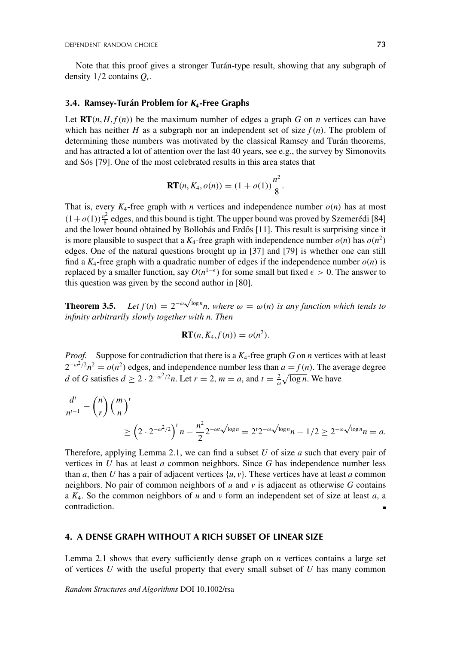Note that this proof gives a stronger Turán-type result, showing that any subgraph of density 1/2 contains *Qr*.

#### **3.4. Ramsey-Turán Problem for** *K***4-Free Graphs**

Let  $\mathbf{RT}(n, H, f(n))$  be the maximum number of edges a graph *G* on *n* vertices can have which has neither *H* as a subgraph nor an independent set of size  $f(n)$ . The problem of determining these numbers was motivated by the classical Ramsey and Turán theorems, and has attracted a lot of attention over the last 40 years, see e.g., the survey by Simonovits and Sós [79]. One of the most celebrated results in this area states that

$$
\mathbf{RT}(n, K_4, o(n)) = (1 + o(1))\frac{n^2}{8}.
$$

That is, every  $K_4$ -free graph with *n* vertices and independence number  $o(n)$  has at most  $(1+o(1))\frac{n^2}{8}$  edges, and this bound is tight. The upper bound was proved by Szemerédi [84] and the lower bound obtained by Bollobás and Erdős [11]. This result is surprising since it is more plausible to suspect that a  $K_4$ -free graph with independence number  $o(n)$  has  $o(n^2)$ edges. One of the natural questions brought up in [37] and [79] is whether one can still find a  $K_4$ -free graph with a quadratic number of edges if the independence number  $o(n)$  is replaced by a smaller function, say  $O(n^{1-\epsilon})$  for some small but fixed  $\epsilon > 0$ . The answer to this question was given by the second author in [80].

**Theorem 3.5.** *Let*  $f(n) = 2^{-\omega \sqrt{\log n}} n$ , where  $\omega = \omega(n)$  is any function which tends to *infinity arbitrarily slowly together with n. Then*

$$
\mathbf{RT}(n, K_4, f(n)) = o(n^2).
$$

*Proof.* Suppose for contradiction that there is a *K*4-free graph *G* on *n* vertices with at least  $2^{-\omega^2/2}n^2 = o(n^2)$  edges, and independence number less than  $a = f(n)$ . The average degree *d* of *G* satisfies  $d \ge 2 \cdot 2^{-\omega^2/2}n$ . Let  $r = 2$ ,  $m = a$ , and  $t = \frac{2}{\omega}\sqrt{\log n}$ . We have

$$
\frac{d^{t}}{n^{t-1}} - {n \choose r} \left(\frac{m}{n}\right)^{t} \ge \left(2 \cdot 2^{-\omega^{2}/2}\right)^{t} n - \frac{n^{2}}{2} 2^{-\omega t \sqrt{\log n}} = 2^{t} 2^{-\omega \sqrt{\log n}} n - 1/2 \ge 2^{-\omega \sqrt{\log n}} n = a.
$$

Therefore, applying Lemma 2.1, we can find a subset *U* of size *a* such that every pair of vertices in *U* has at least *a* common neighbors. Since *G* has independence number less than *a*, then *U* has a pair of adjacent vertices  $\{u, v\}$ . These vertices have at least *a* common neighbors. No pair of common neighbors of  $u$  and  $v$  is adjacent as otherwise  $G$  contains a *K*4. So the common neighbors of *u* and *v* form an independent set of size at least *a*, a contradiction.

# **4. A DENSE GRAPH WITHOUT A RICH SUBSET OF LINEAR SIZE**

Lemma 2.1 shows that every sufficiently dense graph on *n* vertices contains a large set of vertices *U* with the useful property that every small subset of *U* has many common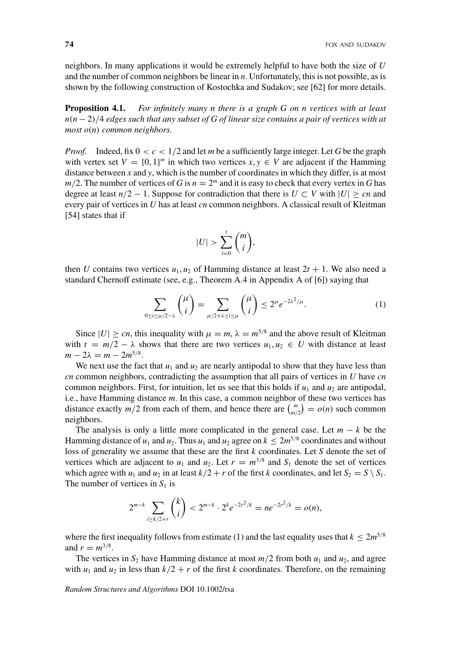neighbors. In many applications it would be extremely helpful to have both the size of *U* and the number of common neighbors be linear in *n*. Unfortunately, this is not possible, as is shown by the following construction of Kostochka and Sudakov; see [62] for more details.

**Proposition 4.1.** *For infinitely many n there is a graph G on n vertices with at least n*(*n* − 2)/4 *edges such that any subset of G of linear size contains a pair of vertices with at most o*(*n*) *common neighbors.*

*Proof.* Indeed, fix  $0 < c < 1/2$  and let *m* be a sufficiently large integer. Let G be the graph with vertex set  $V = \{0, 1\}^m$  in which two vertices  $x, y \in V$  are adjacent if the Hamming distance between *x* and *y*, which is the number of coordinates in which they differ, is at most  $m/2$ . The number of vertices of *G* is  $n = 2<sup>m</sup>$  and it is easy to check that every vertex in *G* has degree at least  $n/2 - 1$ . Suppose for contradiction that there is  $U \subset V$  with  $|U| \geq cn$  and every pair of vertices in *U* has at least *cn* common neighbors. A classical result of Kleitman [54] states that if

$$
|U| > \sum_{i=0}^{t} \binom{m}{i},
$$

then *U* contains two vertices  $u_1, u_2$  of Hamming distance at least  $2t + 1$ . We also need a standard Chernoff estimate (see, e.g., Theorem A.4 in Appendix A of [6]) saying that

$$
\sum_{0 \le i \le \mu/2 - \lambda} {\mu \choose i} = \sum_{\mu/2 + \lambda \le i \le \mu} {\mu \choose i} \le 2^{\mu} e^{-2\lambda^2/\mu}.
$$
 (1)

Since  $|U| \ge cn$ , this inequality with  $\mu = m$ ,  $\lambda = m^{5/8}$  and the above result of Kleitman with  $t = m/2 - \lambda$  shows that there are two vertices  $u_1, u_2 \in U$  with distance at least  $m - 2\lambda = m - 2m^{5/8}$ .

We next use the fact that  $u_1$  and  $u_2$  are nearly antipodal to show that they have less than *cn* common neighbors, contradicting the assumption that all pairs of vertices in *U* have *cn* common neighbors. First, for intuition, let us see that this holds if  $u_1$  and  $u_2$  are antipodal, i.e., have Hamming distance *m*. In this case, a common neighbor of these two vertices has distance exactly  $m/2$  from each of them, and hence there are  $\binom{m}{m/2} = o(n)$  such common neighbors.

The analysis is only a little more complicated in the general case. Let  $m - k$  be the Hamming distance of  $u_1$  and  $u_2$ . Thus  $u_1$  and  $u_2$  agree on  $k \leq 2m^{5/8}$  coordinates and without loss of generality we assume that these are the first *k* coordinates. Let *S* denote the set of vertices which are adjacent to  $u_1$  and  $u_2$ . Let  $r = m^{3/8}$  and  $S_1$  denote the set of vertices which agree with  $u_1$  and  $u_2$  in at least  $k/2 + r$  of the first *k* coordinates, and let  $S_2 = S \setminus S_1$ . The number of vertices in  $S_1$  is

$$
2^{m-k}\sum_{i\geq k/2+r} {k \choose i} < 2^{m-k} \cdot 2^k e^{-2r^2/k} = n e^{-2r^2/k} = o(n),
$$

where the first inequality follows from estimate (1) and the last equality uses that  $k \leq 2m^{5/8}$ and  $r = m^{3/8}$ .

The vertices in  $S_2$  have Hamming distance at most  $m/2$  from both  $u_1$  and  $u_2$ , and agree with  $u_1$  and  $u_2$  in less than  $k/2 + r$  of the first *k* coordinates. Therefore, on the remaining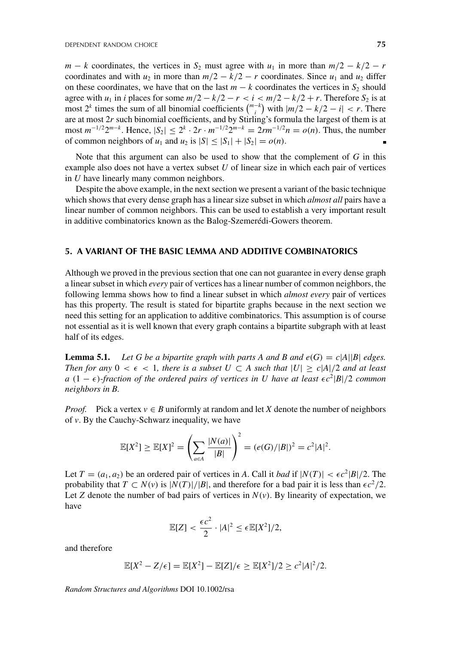$m - k$  coordinates, the vertices in  $S_2$  must agree with  $u_1$  in more than  $m/2 - k/2 - r$ coordinates and with  $u_2$  in more than  $m/2 - k/2 - r$  coordinates. Since  $u_1$  and  $u_2$  differ on these coordinates, we have that on the last  $m - k$  coordinates the vertices in  $S_2$  should agree with  $u_1$  in *i* places for some  $m/2 - k/2 - r < i < m/2 - k/2 + r$ . Therefore  $S_2$  is at most  $2^k$  times the sum of all binomial coefficients  $\binom{m-k}{i}$  with  $|m/2 - k/2 - i| < r$ . There are at most 2*r* such binomial coefficients, and by Stirling's formula the largest of them is at most  $m^{-1/2}2^{m-k}$ . Hence,  $|S_2| \le 2^k \cdot 2r \cdot m^{-1/2}2^{m-k} = 2rm^{-1/2}n = o(n)$ . Thus, the number of common neighbors of  $u_1$  and  $u_2$  is  $|S| \leq |S_1| + |S_2| = o(n)$ .

Note that this argument can also be used to show that the complement of *G* in this example also does not have a vertex subset *U* of linear size in which each pair of vertices in *U* have linearly many common neighbors.

Despite the above example, in the next section we present a variant of the basic technique which shows that every dense graph has a linear size subset in which *almost all* pairs have a linear number of common neighbors. This can be used to establish a very important result in additive combinatorics known as the Balog-Szemerédi-Gowers theorem.

#### **5. A VARIANT OF THE BASIC LEMMA AND ADDITIVE COMBINATORICS**

Although we proved in the previous section that one can not guarantee in every dense graph a linear subset in which *every* pair of vertices has a linear number of common neighbors, the following lemma shows how to find a linear subset in which *almost every* pair of vertices has this property. The result is stated for bipartite graphs because in the next section we need this setting for an application to additive combinatorics. This assumption is of course not essential as it is well known that every graph contains a bipartite subgraph with at least half of its edges.

**Lemma 5.1.** *Let G be a bipartite graph with parts A and B and*  $e(G) = c|A||B|$  *edges. Then for any*  $0 < \epsilon < 1$ , there is a subset  $U \subset A$  such that  $|U| \ge c|A|/2$  and at least *a* (1 −  $\epsilon$ )-fraction of the ordered pairs of vertices in U have at least  $\epsilon c^2 |B|/2$  common *neighbors in B.*

*Proof.* Pick a vertex  $v \in B$  uniformly at random and let *X* denote the number of neighbors of *v*. By the Cauchy-Schwarz inequality, we have

$$
\mathbb{E}[X^2] \ge \mathbb{E}[X]^2 = \left(\sum_{a \in A} \frac{|N(a)|}{|B|}\right)^2 = (e(G)/|B|)^2 = c^2|A|^2.
$$

Let  $T = (a_1, a_2)$  be an ordered pair of vertices in *A*. Call it *bad* if  $|N(T)| < \epsilon c^2 |B|/2$ . The probability that  $T \subset N(v)$  is  $|N(T)|/|B|$ , and therefore for a bad pair it is less than  $\epsilon c^2/2$ . Let *Z* denote the number of bad pairs of vertices in  $N(v)$ . By linearity of expectation, we have

$$
\mathbb{E}[Z] < \frac{\epsilon c^2}{2} \cdot |A|^2 \leq \epsilon \mathbb{E}[X^2]/2,
$$

and therefore

$$
\mathbb{E}[X^2 - Z/\epsilon] = \mathbb{E}[X^2] - \mathbb{E}[Z]/\epsilon \ge \mathbb{E}[X^2]/2 \ge c^2|A|^2/2.
$$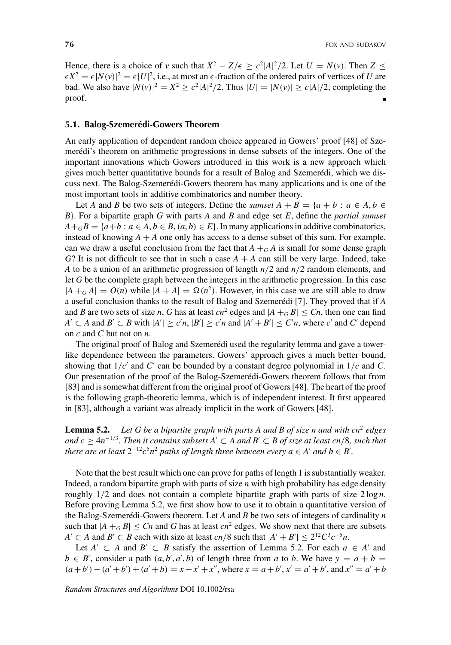Hence, there is a choice of *v* such that  $X^2 - Z/\epsilon \ge c^2 |A|^2/2$ . Let  $U = N(v)$ . Then  $Z \le$  $\epsilon X^2 = \epsilon |N(v)|^2 = \epsilon |U|^2$ , i.e., at most an  $\epsilon$ -fraction of the ordered pairs of vertices of *U* are bad. We also have  $|N(v)|^2 = X^2 \ge c^2 |A|^2 / 2$ . Thus  $|U| = |N(v)| \ge c|A| / 2$ , completing the proof.

#### **5.1. Balog-Szemerédi-Gowers Theorem**

An early application of dependent random choice appeared in Gowers' proof [48] of Szemerédi's theorem on arithmetic progressions in dense subsets of the integers. One of the important innovations which Gowers introduced in this work is a new approach which gives much better quantitative bounds for a result of Balog and Szemerédi, which we discuss next. The Balog-Szemerédi-Gowers theorem has many applications and is one of the most important tools in additive combinatorics and number theory.

Let *A* and *B* be two sets of integers. Define the *sumset*  $A + B = \{a + b : a \in A, b \in A\}$ *B*}. For a bipartite graph *G* with parts *A* and *B* and edge set *E*, define the *partial sumset*  $A +_{G} B = \{a + b : a \in A, b \in B, (a, b) \in E\}$ . In many applications in additive combinatorics, instead of knowing  $A + A$  one only has access to a dense subset of this sum. For example, can we draw a useful conclusion from the fact that  $A +<sub>G</sub> A$  is small for some dense graph  $G$ ? It is not difficult to see that in such a case  $A + A$  can still be very large. Indeed, take *A* to be a union of an arithmetic progression of length *n*/2 and *n*/2 random elements, and let *G* be the complete graph between the integers in the arithmetic progression. In this case  $|A + G A| = O(n)$  while  $|A + A| = \Omega(n^2)$ . However, in this case we are still able to draw a useful conclusion thanks to the result of Balog and Szemerédi [7]. They proved that if *A* and *B* are two sets of size *n*, *G* has at least *cn*<sup>2</sup> edges and  $|A +_G B| \leq Cn$ , then one can find  $A' \subset A$  and  $B' \subset B$  with  $|A'| \ge c'n$ ,  $|B'| \ge c'n$  and  $|A' + B'| \le C'n$ , where *c*' and *C*' depend on *c* and *C* but not on *n*.

The original proof of Balog and Szemerédi used the regularity lemma and gave a towerlike dependence between the parameters. Gowers' approach gives a much better bound, showing that  $1/c'$  and  $C'$  can be bounded by a constant degree polynomial in  $1/c$  and  $C$ . Our presentation of the proof of the Balog-Szemerédi-Gowers theorem follows that from [83] and is somewhat different from the original proof of Gowers [48]. The heart of the proof is the following graph-theoretic lemma, which is of independent interest. It first appeared in [83], although a variant was already implicit in the work of Gowers [48].

**Lemma 5.2.** *Let G be a bipartite graph with parts A and B of size n and with cn*<sup>2</sup> *edges and c* ≥ 4*n*−1/<sup>3</sup>*. Then it contains subsets A* ⊂ *A and B* ⊂ *B of size at least cn*/8*, such that there are at least*  $2^{-12}c^5n^2$  *paths of length three between every a* ∈ *A*<sup>*'*</sup> *and b* ∈ *B*<sup>*'*</sup>.

Note that the best result which one can prove for paths of length 1 is substantially weaker. Indeed, a random bipartite graph with parts of size *n* with high probability has edge density roughly  $1/2$  and does not contain a complete bipartite graph with parts of size  $2 \log n$ . Before proving Lemma 5.2, we first show how to use it to obtain a quantitative version of the Balog-Szemerédi-Gowers theorem. Let *A* and *B* be two sets of integers of cardinality *n* such that  $|A +_{G} B| \leq Cn$  and G has at least  $cn^2$  edges. We show next that there are subsets *A*<sup> $\prime$ </sup> ⊂ *A* and *B*<sup> $\prime$ </sup> ⊂ *B* each with size at least *cn*/8 such that  $|A' + B'| \leq 2^{12}C^3c^{-5}n$ .

Let  $A' \subset A$  and  $B' \subset B$  satisfy the assertion of Lemma 5.2. For each  $a \in A'$  and  $b \in B'$ , consider a path  $(a, b', a', b)$  of length three from *a* to *b*. We have  $y = a + b$  $(a+b') - (a'+b') + (a'+b) = x - x' + x''$ , where  $x = a+b'$ ,  $x' = a'+b'$ , and  $x'' = a' + b$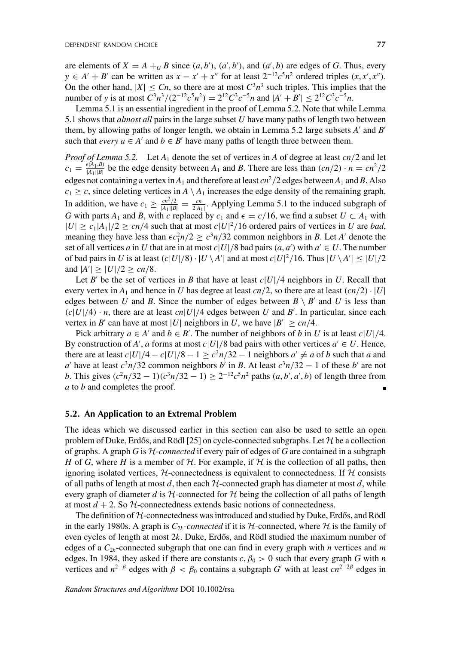are elements of  $X = A +_{G} B$  since  $(a, b')$ ,  $(a', b')$ , and  $(a', b)$  are edges of *G*. Thus, every *y* ∈ *A*<sup> $\prime$ </sup> + *B*<sup> $\prime$ </sup> can be written as *x* − *x*<sup> $\prime$ </sup> + *x*<sup> $\prime$ </sup> for at least 2<sup>-12</sup>*c*<sup>5</sup>*n*<sup>2</sup> ordered triples (*x*, *x*<sup> $\prime$ </sup>, *x*<sup> $\prime$ </sup>). On the other hand,  $|X| \leq Cn$ , so there are at most  $C^3 n^3$  such triples. This implies that the number of *y* is at most  $C^3 n^3 / (2^{-12} c^5 n^2) = 2^{12} C^3 c^{-5} n$  and  $|A' + B'| \le 2^{12} C^3 c^{-5} n$ .

Lemma 5.1 is an essential ingredient in the proof of Lemma 5.2. Note that while Lemma 5.1 shows that *almost all* pairs in the large subset *U* have many paths of length two between them, by allowing paths of longer length, we obtain in Lemma 5.2 large subsets *A'* and *B'* such that *every*  $a \in A'$  and  $b \in B'$  have many paths of length three between them.

*Proof of Lemma 5.2.* Let *A*<sup>1</sup> denote the set of vertices in *A* of degree at least *cn*/2 and let  $c_1 = \frac{e(A_1, B)}{|A_1||B|}$  be the edge density between  $A_1$  and  $B$ . There are less than  $(cn/2) \cdot n = cn^2/2$ edges not containing a vertex in  $A_1$  and therefore at least  $cn^2/2$  edges between  $A_1$  and *B*. Also  $c_1 \geq c$ , since deleting vertices in  $A \setminus A_1$  increases the edge density of the remaining graph. In addition, we have  $c_1 \ge \frac{cn^2/2}{|A_1||B|} = \frac{cn}{2|A_1|}$ . Applying Lemma 5.1 to the induced subgraph of *G* with parts  $A_1$  and *B*, with *c* replaced by  $c_1$  and  $\epsilon = c/16$ , we find a subset  $U \subset A_1$  with  $|U| \ge c_1 |A_1|/2 \ge cn/4$  such that at most  $c|U|^2/16$  ordered pairs of vertices in *U* are *bad*, meaning they have less than  $\epsilon c_1^2 n/2 \ge c^3 n/32$  common neighbors in *B*. Let *A*<sup> $\prime$ </sup> denote the set of all vertices *a* in *U* that are in at most  $c|U|/8$  bad pairs  $(a, a')$  with  $a' \in U$ . The number of bad pairs in *U* is at least  $(c|U|/8) \cdot |U \setminus A'|$  and at most  $c|U|^2/16$ . Thus  $|U \setminus A'| \leq |U|/2$ and  $|A'| \ge |U|/2 \ge cn/8$ .

Let *B*<sup> $\prime$ </sup> be the set of vertices in *B* that have at least  $c|U|/4$  neighbors in *U*. Recall that every vertex in  $A_1$  and hence in *U* has degree at least *cn*/2, so there are at least  $\left(\frac{cn}{2}\right) \cdot |U|$ edges between *U* and *B*. Since the number of edges between  $B \setminus B'$  and *U* is less than  $(c|U|/4) \cdot n$ , there are at least  $cn|U|/4$  edges between *U* and *B'*. In particular, since each vertex in *B*<sup> $\prime$ </sup> can have at most |*U*| neighbors in *U*, we have  $|B'| \geq cn/4$ .

Pick arbitrary  $a \in A'$  and  $b \in B'$ . The number of neighbors of *b* in *U* is at least  $c|U|/4$ . By construction of *A*<sup>'</sup>, *a* forms at most *c*|*U*|/8 bad pairs with other vertices  $a' \in U$ . Hence, there are at least  $c|U|/4 - c|U|/8 - 1 \ge c^2n/32 - 1$  neighbors  $a' \ne a$  of *b* such that *a* and *a*<sup> $\alpha$ </sup> have at least  $c^3n/32$  common neighbors *b*' in *B*. At least  $c^3n/32 - 1$  of these *b*' are not *b*. This gives  $(c^2n/32 - 1)(c^3n/32 - 1) \ge 2^{-12}c^5n^2$  paths  $(a, b', a', b)$  of length three from *a* to *b* and completes the proof.

#### **5.2. An Application to an Extremal Problem**

The ideas which we discussed earlier in this section can also be used to settle an open problem of Duke, Erdős, and Rödl [25] on cycle-connected subgraphs. Let  $H$  be a collection of graphs. A graph *G* is H-*connected* if every pair of edges of *G* are contained in a subgraph *H* of *G*, where *H* is a member of  $H$ . For example, if  $H$  is the collection of all paths, then ignoring isolated vertices,  $H$ -connectedness is equivalent to connectedness. If  $H$  consists of all paths of length at most  $d$ , then each  $H$ -connected graph has diameter at most  $d$ , while every graph of diameter *d* is  $H$ -connected for  $H$  being the collection of all paths of length at most  $d + 2$ . So  $H$ -connectedness extends basic notions of connectedness.

The definition of  $H$ -connectedness was introduced and studied by Duke, Erdős, and Rödl in the early 1980s. A graph is  $C_{2k}$ -*connected* if it is  $H$ -connected, where H is the family of even cycles of length at most  $2k$ . Duke, Erdős, and Rödl studied the maximum number of edges of a *C*2*<sup>k</sup>* -connected subgraph that one can find in every graph with *n* vertices and *m* edges. In 1984, they asked if there are constants  $c, \beta_0 > 0$  such that every graph *G* with *n* vertices and  $n^{2-\beta}$  edges with  $\beta < \beta_0$  contains a subgraph *G*' with at least  $cn^{2-2\beta}$  edges in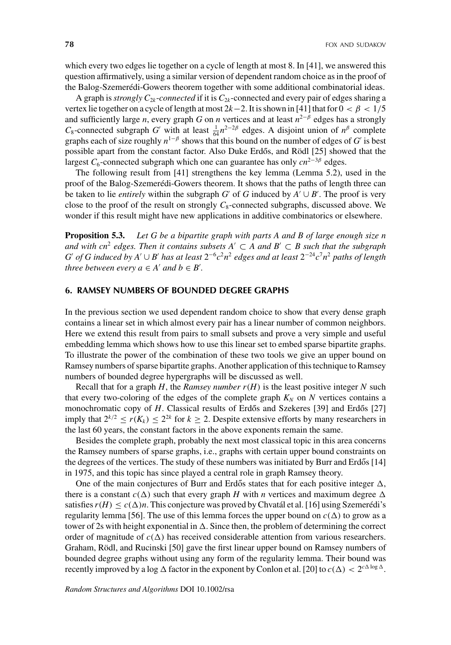which every two edges lie together on a cycle of length at most 8. In [41], we answered this question affirmatively, using a similar version of dependent random choice as in the proof of the Balog-Szemerédi-Gowers theorem together with some additional combinatorial ideas.

A graph is *strongly*  $C_{2k}$ -*connected* if it is  $C_{2k}$ -connected and every pair of edges sharing a vertex lie together on a cycle of length at most  $2k-2$ . It is shown in [41] that for  $0 < \beta < 1/5$ and sufficiently large *n*, every graph *G* on *n* vertices and at least  $n^{2-\beta}$  edges has a strongly  $C_8$ -connected subgraph *G*<sup>'</sup> with at least  $\frac{1}{64}n^{2-2\beta}$  edges. A disjoint union of  $n^{\beta}$  complete graphs each of size roughly  $n^{1-\beta}$  shows that this bound on the number of edges of *G*' is best possible apart from the constant factor. Also Duke Erdős, and Rödl [25] showed that the largest *C*<sub>6</sub>-connected subgraph which one can guarantee has only *cn*<sup>2−3β</sup> edges.

The following result from [41] strengthens the key lemma (Lemma 5.2), used in the proof of the Balog-Szemerédi-Gowers theorem. It shows that the paths of length three can be taken to lie *entirely* within the subgraph *G*<sup>'</sup> of *G* induced by  $A' \cup B'$ . The proof is very close to the proof of the result on strongly  $C_8$ -connected subgraphs, discussed above. We wonder if this result might have new applications in additive combinatorics or elsewhere.

**Proposition 5.3.** *Let G be a bipartite graph with parts A and B of large enough size n and with cn*<sup>2</sup> *edges. Then it contains subsets A*<sup> $\prime$ </sup>  $\subset$  *A and B*<sup> $\prime$ </sup>  $\subset$  *B such that the subgraph G*<sup>*o*</sup> *of G* induced by  $A' \cup B'$  *has at least*  $2^{-6}c^2n^2$  *edges and at least*  $2^{-24}c^7n^2$  *paths of length three between every*  $a \in A'$  *and*  $b \in B'$ .

#### **6. RAMSEY NUMBERS OF BOUNDED DEGREE GRAPHS**

In the previous section we used dependent random choice to show that every dense graph contains a linear set in which almost every pair has a linear number of common neighbors. Here we extend this result from pairs to small subsets and prove a very simple and useful embedding lemma which shows how to use this linear set to embed sparse bipartite graphs. To illustrate the power of the combination of these two tools we give an upper bound on Ramsey numbers of sparse bipartite graphs. Another application of this technique to Ramsey numbers of bounded degree hypergraphs will be discussed as well.

Recall that for a graph  $H$ , the *Ramsey number*  $r(H)$  is the least positive integer  $N$  such that every two-coloring of the edges of the complete graph  $K_N$  on  $N$  vertices contains a monochromatic copy of *H*. Classical results of Erdős and Szekeres [39] and Erdős [27] imply that  $2^{k/2} \le r(K_k) \le 2^{2k}$  for  $k \ge 2$ . Despite extensive efforts by many researchers in the last 60 years, the constant factors in the above exponents remain the same.

Besides the complete graph, probably the next most classical topic in this area concerns the Ramsey numbers of sparse graphs, i.e., graphs with certain upper bound constraints on the degrees of the vertices. The study of these numbers was initiated by Burr and Erdős [14] in 1975, and this topic has since played a central role in graph Ramsey theory.

One of the main conjectures of Burr and Erdős states that for each positive integer  $\Delta$ , there is a constant  $c(\Delta)$  such that every graph *H* with *n* vertices and maximum degree  $\Delta$ satisfies  $r(H) < c(\Delta)n$ . This conjecture was proved by Chvatál et al. [16] using Szemerédi's regularity lemma [56]. The use of this lemma forces the upper bound on  $c(\Delta)$  to grow as a tower of 2s with height exponential in  $\Delta$ . Since then, the problem of determining the correct order of magnitude of  $c(\Delta)$  has received considerable attention from various researchers. Graham, Rödl, and Rucinski [50] gave the first linear upper bound on Ramsey numbers of bounded degree graphs without using any form of the regularity lemma. Their bound was recently improved by a log  $\Delta$  factor in the exponent by Conlon et al. [20] to  $c(\Delta) < 2^{c\Delta \log \Delta}$ .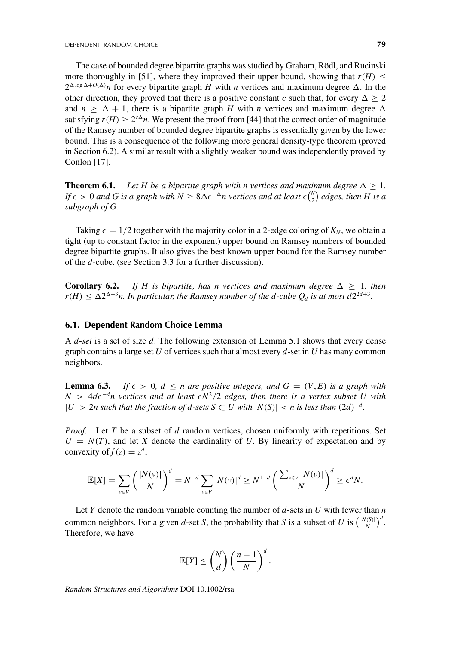The case of bounded degree bipartite graphs was studied by Graham, Rödl, and Rucinski more thoroughly in [51], where they improved their upper bound, showing that  $r(H)$  <  $2^{\Delta \log \Delta + O(\Delta)} n$  for every bipartite graph *H* with *n* vertices and maximum degree  $\Delta$ . In the other direction, they proved that there is a positive constant *c* such that, for every  $\Delta > 2$ and  $n \geq \Delta + 1$ , there is a bipartite graph *H* with *n* vertices and maximum degree  $\Delta$ satisfying  $r(H) \geq 2^{c\Delta}n$ . We present the proof from [44] that the correct order of magnitude of the Ramsey number of bounded degree bipartite graphs is essentially given by the lower bound. This is a consequence of the following more general density-type theorem (proved in Section 6.2). A similar result with a slightly weaker bound was independently proved by Conlon [17].

**Theorem 6.1.** *Let H be a bipartite graph with n vertices and maximum degree*  $\Delta \geq 1$ *. If*  $\epsilon > 0$  and G is a graph with  $N \geq 8\Delta\epsilon^{-\Delta}$ n vertices and at least  $\epsilon {N \choose 2}$  edges, then H is a *subgraph of G.*

Taking  $\epsilon = 1/2$  together with the majority color in a 2-edge coloring of  $K_N$ , we obtain a tight (up to constant factor in the exponent) upper bound on Ramsey numbers of bounded degree bipartite graphs. It also gives the best known upper bound for the Ramsey number of the *d*-cube. (see Section 3.3 for a further discussion).

**Corollary 6.2.** *If H is bipartite, has n vertices and maximum degree*  $\Delta \geq 1$ *, then*  $r(H) \leq \Delta 2^{\Delta+3}n$ . In particular, the Ramsey number of the d-cube  $Q_d$  is at most  $d2^{2d+3}$ .

#### **6.1. Dependent Random Choice Lemma**

A *d*-*set* is a set of size *d*. The following extension of Lemma 5.1 shows that every dense graph contains a large set *U* of vertices such that almost every *d*-set in *U* has many common neighbors.

**Lemma 6.3.** *If*  $\epsilon > 0$ ,  $d \le n$  *are positive integers, and*  $G = (V, E)$  *is a graph with*  $N > 4d\epsilon^{-d}$ n vertices and at least  $\epsilon N^2/2$  edges, then there is a vertex subset U with  $|U|$  > 2*n* such that the fraction of *d*-sets  $S \subset U$  with  $|N(S)| < n$  is less than  $(2d)^{-d}$ .

*Proof.* Let *T* be a subset of *d* random vertices, chosen uniformly with repetitions. Set  $U = N(T)$ , and let *X* denote the cardinality of *U*. By linearity of expectation and by convexity of  $f(z) = z^d$ ,

$$
\mathbb{E}[X] = \sum_{v \in V} \left(\frac{|N(v)|}{N}\right)^d = N^{-d} \sum_{v \in V} |N(v)|^d \ge N^{1-d} \left(\frac{\sum_{v \in V} |N(v)|}{N}\right)^d \ge \epsilon^d N.
$$

Let *Y* denote the random variable counting the number of *d*-sets in *U* with fewer than *n* common neighbors. For a given *d*-set *S*, the probability that *S* is a subset of *U* is  $\left(\frac{|N(S)|}{N}\right)^d$ . Therefore, we have

$$
\mathbb{E}[Y] \leq {N \choose d} \left(\frac{n-1}{N}\right)^d.
$$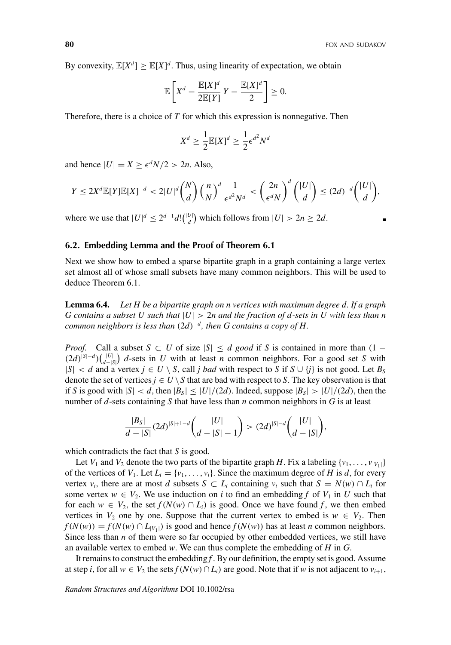By convexity,  $\mathbb{E}[X^d] \geq \mathbb{E}[X]^d$ . Thus, using linearity of expectation, we obtain

$$
\mathbb{E}\left[X^d - \frac{\mathbb{E}[X]^d}{2\mathbb{E}[Y]}Y - \frac{\mathbb{E}[X]^d}{2}\right] \ge 0.
$$

Therefore, there is a choice of *T* for which this expression is nonnegative. Then

$$
X^d \ge \frac{1}{2} \mathbb{E}[X]^d \ge \frac{1}{2} \epsilon^{d^2} N^d
$$

and hence  $|U| = X \ge \epsilon^d N/2 > 2n$ . Also,

$$
Y \le 2X^d \mathbb{E}[Y] \mathbb{E}[X]^{-d} < 2|U|^d \binom{N}{d} \left(\frac{n}{N}\right)^d \frac{1}{\epsilon^{d^2} N^d} < \left(\frac{2n}{\epsilon^d N}\right)^d \binom{|U|}{d} \le (2d)^{-d} \binom{|U|}{d},
$$

where we use that  $|U|^d \leq 2^{d-1} d! \binom{|U|}{d}$  which follows from  $|U| > 2n \geq 2d$ .

#### **6.2. Embedding Lemma and the Proof of Theorem 6.1**

Next we show how to embed a sparse bipartite graph in a graph containing a large vertex set almost all of whose small subsets have many common neighbors. This will be used to deduce Theorem 6.1.

**Lemma 6.4.** *Let H be a bipartite graph on n vertices with maximum degree d. If a graph G contains a subset U such that* |*U*| > 2*n and the fraction of d-sets in U with less than n common neighbors is less than* (2*d*)−*<sup>d</sup> , then G contains a copy of H.*

*Proof.* Call a subset  $S \subset U$  of size  $|S| \le d$  good if *S* is contained in more than (1 −  $(2d)^{|S| - d}$  $\left(\bigcup_{d=|S|}^{|U|}\right)$  *d*-sets in *U* with at least *n* common neighbors. For a good set *S* with  $|S| < d$  and a vertex  $j \in U \setminus S$ , call *j bad* with respect to *S* if  $S \cup \{j\}$  is not good. Let  $B_S$ denote the set of vertices  $j \in U \setminus S$  that are bad with respect to S. The key observation is that if *S* is good with  $|S| < d$ , then  $|B_S| \le |U|/(2d)$ . Indeed, suppose  $|B_S| > |U|/(2d)$ , then the number of *d*-sets containing *S* that have less than *n* common neighbors in *G* is at least

$$
\frac{|B_S|}{d-|S|}(2d)^{|S|+1-d}\binom{|U|}{d-|S|-1}>(2d)^{|S|-d}\binom{|U|}{d-|S|},
$$

which contradicts the fact that *S* is good.

Let  $V_1$  and  $V_2$  denote the two parts of the bipartite graph *H*. Fix a labeling  $\{v_1, \ldots, v_{|V_1|}\}$ of the vertices of  $V_1$ . Let  $L_i = \{v_1, \ldots, v_i\}$ . Since the maximum degree of *H* is *d*, for every vertex *v<sub>i</sub>*, there are at most *d* subsets  $S \subset L_i$  containing *v<sub>i</sub>* such that  $S = N(w) \cap L_i$  for some vertex  $w \in V_2$ . We use induction on *i* to find an embedding *f* of  $V_1$  in *U* such that for each  $w \in V_2$ , the set  $f(N(w) \cap L_i)$  is good. Once we have found f, we then embed vertices in  $V_2$  one by one. Suppose that the current vertex to embed is  $w \in V_2$ . Then  $f(N(w)) = f(N(w) \cap L_{|V_1|})$  is good and hence  $f(N(w))$  has at least *n* common neighbors. Since less than *n* of them were so far occupied by other embedded vertices, we still have an available vertex to embed *w*. We can thus complete the embedding of *H* in *G*.

It remains to construct the embedding *f* . By our definition, the empty set is good. Assume at step *i*, for all  $w \in V_2$  the sets  $f(N(w) \cap L_i)$  are good. Note that if *w* is not adjacent to  $v_{i+1}$ ,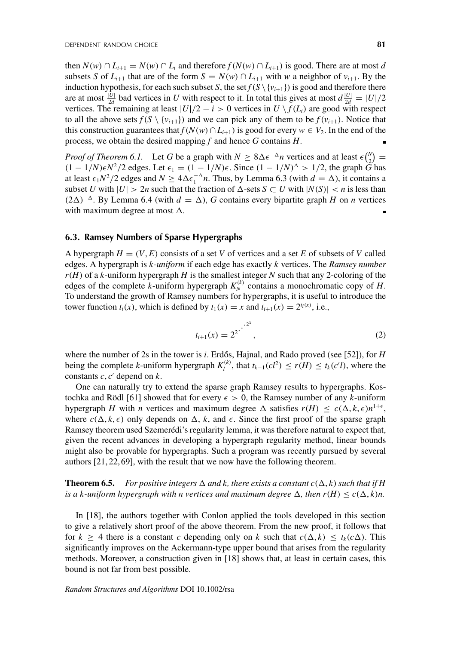then  $N(w) \cap L_{i+1} = N(w) \cap L_i$  and therefore  $f(N(w) \cap L_{i+1})$  is good. There are at most *d* subsets *S* of  $L_{i+1}$  that are of the form  $S = N(w) \cap L_{i+1}$  with *w* a neighbor of  $v_{i+1}$ . By the induction hypothesis, for each such subset *S*, the set  $f(S \setminus \{v_{i+1}\})$  is good and therefore there are at most  $\frac{|U|}{2d}$  bad vertices in *U* with respect to it. In total this gives at most  $d\frac{|U|}{2d} = |U|/2$ vertices. The remaining at least  $|U|/2 - i > 0$  vertices in  $U \setminus f(L_i)$  are good with respect to all the above sets  $f(S \setminus \{v_{i+1}\})$  and we can pick any of them to be  $f(v_{i+1})$ . Notice that this construction guarantees that  $f(N(w) \cap L_{i+1})$  is good for every  $w \in V_2$ . In the end of the process, we obtain the desired mapping *f* and hence *G* contains *H*.

*Proof of Theorem 6.1.* Let *G* be a graph with  $N \ge 8\Delta\epsilon^{-\Delta}n$  vertices and at least  $\epsilon\binom{N}{2}$  $2(1-1/N)\epsilon N^2/2$  edges. Let  $\epsilon_1 = (1-1/N)\epsilon$ . Since  $(1-1/N)^{\Delta} > 1/2$ , the graph *G* has at least  $\epsilon_1 N^2/2$  edges and  $N \ge 4\Delta \epsilon_1^{-\Delta} n$ . Thus, by Lemma 6.3 (with  $d = \Delta$ ), it contains a subset *U* with  $|U| > 2n$  such that the fraction of  $\Delta$ -sets  $S \subset U$  with  $|N(S)| < n$  is less than (2 $\Delta$ )<sup>- $\Delta$ </sup>. By Lemma 6.4 (with *d* =  $\Delta$ ), *G* contains every bipartite graph *H* on *n* vertices with maximum degree at most  $\Delta$ .

#### **6.3. Ramsey Numbers of Sparse Hypergraphs**

A hypergraph  $H = (V, E)$  consists of a set *V* of vertices and a set *E* of subsets of *V* called edges. A hypergraph is *k*-*uniform* if each edge has exactly *k* vertices. The *Ramsey number r*(*H*) of a *k*-uniform hypergraph *H* is the smallest integer *N* such that any 2-coloring of the edges of the complete *k*-uniform hypergraph  $K_N^{(k)}$  contains a monochromatic copy of *H*. To understand the growth of Ramsey numbers for hypergraphs, it is useful to introduce the tower function  $t_i(x)$ , which is defined by  $t_1(x) = x$  and  $t_{i+1}(x) = 2^{t_i(x)}$ , i.e.,

$$
t_{i+1}(x) = 2^{2} \cdot \cdot \cdot 2^x,\tag{2}
$$

where the number of 2s in the tower is *i*. Erdős, Hajnal, and Rado proved (see [52]), for  $H$ being the complete *k*-uniform hypergraph  $K_l^{(k)}$ , that  $t_{k-1}(cl^2) \le r(H) \le t_k(c'l)$ , where the constants  $c, c'$  depend on  $k$ .

One can naturally try to extend the sparse graph Ramsey results to hypergraphs. Kostochka and Rödl [61] showed that for every  $\epsilon > 0$ , the Ramsey number of any *k*-uniform hypergraph *H* with *n* vertices and maximum degree  $\Delta$  satisfies  $r(H) \le c(\Delta, k, \epsilon) n^{1+\epsilon}$ , where  $c(\Delta, k, \epsilon)$  only depends on  $\Delta$ , k, and  $\epsilon$ . Since the first proof of the sparse graph Ramsey theorem used Szemerédi's regularity lemma, it was therefore natural to expect that, given the recent advances in developing a hypergraph regularity method, linear bounds might also be provable for hypergraphs. Such a program was recently pursued by several authors [21, 22, 69], with the result that we now have the following theorem.

**Theorem 6.5.** For positive integers  $\Delta$  and k, there exists a constant  $c(\Delta, k)$  such that if H *is a k-uniform hypergraph with n vertices and maximum degree*  $\Delta$ , then  $r(H) \leq c(\Delta, k)n$ .

In [18], the authors together with Conlon applied the tools developed in this section to give a relatively short proof of the above theorem. From the new proof, it follows that for  $k \geq 4$  there is a constant *c* depending only on *k* such that  $c(\Delta, k) \leq t_k(c\Delta)$ . This significantly improves on the Ackermann-type upper bound that arises from the regularity methods. Moreover, a construction given in [18] shows that, at least in certain cases, this bound is not far from best possible.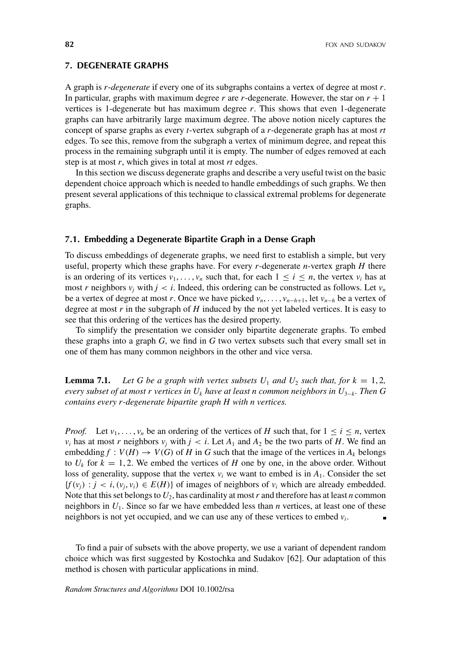# **7. DEGENERATE GRAPHS**

A graph is *r*-*degenerate* if every one of its subgraphs contains a vertex of degree at most *r*. In particular, graphs with maximum degree  $r$  are  $r$ -degenerate. However, the star on  $r + 1$ vertices is 1-degenerate but has maximum degree *r*. This shows that even 1-degenerate graphs can have arbitrarily large maximum degree. The above notion nicely captures the concept of sparse graphs as every *t*-vertex subgraph of a *r*-degenerate graph has at most *rt* edges. To see this, remove from the subgraph a vertex of minimum degree, and repeat this process in the remaining subgraph until it is empty. The number of edges removed at each step is at most *r*, which gives in total at most *rt* edges.

In this section we discuss degenerate graphs and describe a very useful twist on the basic dependent choice approach which is needed to handle embeddings of such graphs. We then present several applications of this technique to classical extremal problems for degenerate graphs.

#### **7.1. Embedding a Degenerate Bipartite Graph in a Dense Graph**

To discuss embeddings of degenerate graphs, we need first to establish a simple, but very useful, property which these graphs have. For every *r*-degenerate *n*-vertex graph *H* there is an ordering of its vertices  $v_1, \ldots, v_n$  such that, for each  $1 \le i \le n$ , the vertex  $v_i$  has at most *r* neighbors  $v_i$  with  $j < i$ . Indeed, this ordering can be constructed as follows. Let  $v_n$ be a vertex of degree at most *r*. Once we have picked  $v_n, \ldots, v_{n-h+1}$ , let  $v_{n-h}$  be a vertex of degree at most *r* in the subgraph of *H* induced by the not yet labeled vertices. It is easy to see that this ordering of the vertices has the desired property.

To simplify the presentation we consider only bipartite degenerate graphs. To embed these graphs into a graph *G*, we find in *G* two vertex subsets such that every small set in one of them has many common neighbors in the other and vice versa.

**Lemma 7.1.** Let G be a graph with vertex subsets  $U_1$  and  $U_2$  such that, for  $k = 1, 2$ , *every subset of at most r vertices in*  $U_k$  *have at least n common neighbors in*  $U_{3-k}$ *. Then G contains every r-degenerate bipartite graph H with n vertices.*

*Proof.* Let  $v_1, \ldots, v_n$  be an ordering of the vertices of *H* such that, for  $1 \le i \le n$ , vertex *v<sub>i</sub>* has at most *r* neighbors  $v_j$  with  $j < i$ . Let  $A_1$  and  $A_2$  be the two parts of *H*. We find an embedding  $f : V(H) \to V(G)$  of *H* in *G* such that the image of the vertices in  $A_k$  belongs to  $U_k$  for  $k = 1, 2$ . We embed the vertices of *H* one by one, in the above order. Without loss of generality, suppose that the vertex  $v_i$  we want to embed is in  $A_1$ . Consider the set  ${f(v_i) : j < i, (v_i, v_i) \in E(H)}$  of images of neighbors of  $v_i$  which are already embedded. Note that this set belongs to  $U_2$ , has cardinality at most r and therefore has at least *n* common neighbors in  $U_1$ . Since so far we have embedded less than *n* vertices, at least one of these neighbors is not yet occupied, and we can use any of these vertices to embed  $v_i$ .

To find a pair of subsets with the above property, we use a variant of dependent random choice which was first suggested by Kostochka and Sudakov [62]. Our adaptation of this method is chosen with particular applications in mind.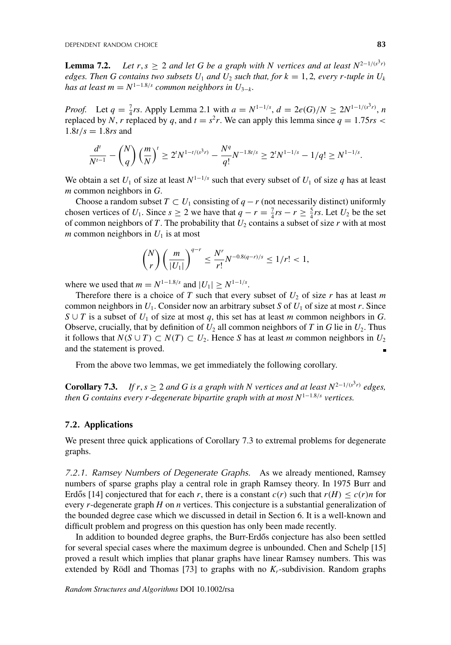**Lemma 7.2.** *Let r, s*  $\geq$  2 *and let G be a graph with N vertices and at least*  $N^{2-1/(s^3r)}$ *edges. Then G contains two subsets U<sub>1</sub> and U<sub>2</sub> such that, for*  $k = 1, 2$ *, every r-tuple in U<sub>k</sub> has at least m* =  $N^{1-1.8/s}$  *common neighbors in U*<sub>3−*k*</sub>.

*Proof.* Let  $q = \frac{7}{4}$  *rs*. Apply Lemma 2.1 with  $a = N^{1-1/s}$ ,  $d = 2e(G)/N \ge 2N^{1-1/(s^3r)}$ , *n* replaced by *N*, *r* replaced by *q*, and  $t = s^2r$ . We can apply this lemma since  $q = 1.75rs$  $1.8t/s = 1.8rs$  and

$$
\frac{d^t}{N^{t-1}} - {N \choose q} \left(\frac{m}{N}\right)^t \ge 2^t N^{1-t/(s^3r)} - \frac{N^q}{q!} N^{-1.8t/s} \ge 2^t N^{1-1/s} - 1/q! \ge N^{1-1/s}.
$$

We obtain a set  $U_1$  of size at least  $N^{1-1/s}$  such that every subset of  $U_1$  of size q has at least *m* common neighbors in *G*.

Choose a random subset  $T \subset U_1$  consisting of  $q - r$  (not necessarily distinct) uniformly chosen vertices of *U*<sub>1</sub>. Since  $s \ge 2$  we have that  $q - r = \frac{7}{4}rs - r \ge \frac{5}{4}rs$ . Let *U*<sub>2</sub> be the set of common neighbors of  $T$ . The probability that  $U_2$  contains a subset of size  $r$  with at most *m* common neighbors in  $U_1$  is at most

$$
\binom{N}{r} \left(\frac{m}{|U_1|}\right)^{q-r} \le \frac{N^r}{r!} N^{-0.8(q-r)/s} \le 1/r! < 1,
$$

where we used that  $m = N^{1-1.8/s}$  and  $|U_1| \ge N^{1-1/s}$ .

Therefore there is a choice of  $T$  such that every subset of  $U_2$  of size  $r$  has at least  $m$ common neighbors in  $U_1$ . Consider now an arbitrary subset *S* of  $U_1$  of size at most *r*. Since *S* ∪ *T* is a subset of  $U_1$  of size at most  $q$ , this set has at least *m* common neighbors in *G*. Observe, crucially, that by definition of  $U_2$  all common neighbors of *T* in *G* lie in  $U_2$ . Thus it follows that *N*(*S* ∪ *T*) ⊂ *N*(*T*) ⊂ *U*<sub>2</sub>. Hence *S* has at least *m* common neighbors in *U*<sub>2</sub> and the statement is proved.

From the above two lemmas, we get immediately the following corollary.

**Corollary 7.3.** *If r, s*  $\geq$  2 *and G is a graph with N vertices and at least*  $N^{2-1/(s^3r)}$  *edges, then G contains every r-degenerate bipartite graph with at most N*<sup>1</sup>−1.8/*<sup>s</sup> vertices.*

#### **7.2. Applications**

We present three quick applications of Corollary 7.3 to extremal problems for degenerate graphs.

*7.2.1. Ramsey Numbers of Degenerate Graphs.* As we already mentioned, Ramsey numbers of sparse graphs play a central role in graph Ramsey theory. In 1975 Burr and Erdős [14] conjectured that for each *r*, there is a constant  $c(r)$  such that  $r(H) \leq c(r)n$  for every *r*-degenerate graph *H* on *n* vertices. This conjecture is a substantial generalization of the bounded degree case which we discussed in detail in Section 6. It is a well-known and difficult problem and progress on this question has only been made recently.

In addition to bounded degree graphs, the Burr-Erdős conjecture has also been settled for several special cases where the maximum degree is unbounded. Chen and Schelp [15] proved a result which implies that planar graphs have linear Ramsey numbers. This was extended by Rödl and Thomas [73] to graphs with no  $K_r$ -subdivision. Random graphs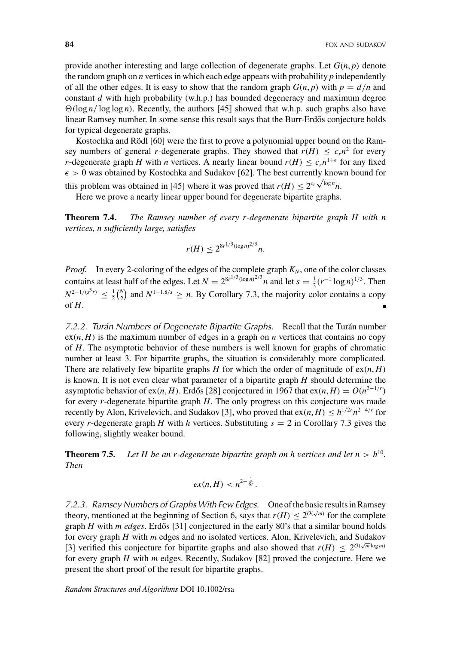provide another interesting and large collection of degenerate graphs. Let  $G(n, p)$  denote the random graph on *n* vertices in which each edge appears with probability *p* independently of all the other edges. It is easy to show that the random graph  $G(n, p)$  with  $p = d/n$  and constant *d* with high probability (w.h.p.) has bounded degeneracy and maximum degree  $\Theta(\log n / \log \log n)$ . Recently, the authors [45] showed that w.h.p. such graphs also have linear Ramsey number. In some sense this result says that the Burr-Erdős conjecture holds for typical degenerate graphs.

Kostochka and Rödl [60] were the first to prove a polynomial upper bound on the Ramsey numbers of general *r*-degenerate graphs. They showed that  $r(H) \leq c_r n^2$  for every *r*-degenerate graph *H* with *n* vertices. A nearly linear bound  $r(H) \leq c_r n^{1+\epsilon}$  for any fixed  $\epsilon > 0$  was obtained by Kostochka and Sudakov [62]. The best currently known bound for this problem was obtained in [45] where it was proved that  $r(H) \le 2^{c_r \sqrt{\log n}} n$ .

Here we prove a nearly linear upper bound for degenerate bipartite graphs.

**Theorem 7.4.** *The Ramsey number of every r-degenerate bipartite graph H with n vertices, n sufficiently large, satisfies*

$$
r(H) \leq 2^{8r^{1/3}(\log n)^{2/3}}n.
$$

*Proof.* In every 2-coloring of the edges of the complete graph  $K_N$ , one of the color classes contains at least half of the edges. Let  $N = 2^{8r^{1/3}(\log n)^{2/3}}n$  and let  $s = \frac{1}{2}(r^{-1} \log n)^{1/3}$ . Then  $N^{2-1/(s^3r)} \leq \frac{1}{2} {N \choose 2}$  and  $N^{1-1.8/s} \geq n$ . By Corollary 7.3, the majority color contains a copy of  $H$ .

*7.2.2. Turán Numbers of Degenerate Bipartite Graphs.* Recall that the Turán number  $ex(n, H)$  is the maximum number of edges in a graph on *n* vertices that contains no copy of *H*. The asymptotic behavior of these numbers is well known for graphs of chromatic number at least 3. For bipartite graphs, the situation is considerably more complicated. There are relatively few bipartite graphs *H* for which the order of magnitude of  $ex(n, H)$ is known. It is not even clear what parameter of a bipartite graph *H* should determine the asymptotic behavior of ex(*n*, *H*). Erdős [28] conjectured in 1967 that ex(*n*, *H*) =  $O(n^{2-1/r})$ for every *r*-degenerate bipartite graph *H*. The only progress on this conjecture was made recently by Alon, Krivelevich, and Sudakov [3], who proved that  $ex(n, H) \leq h^{1/2r} n^{2-4/r}$  for every *r*-degenerate graph *H* with *h* vertices. Substituting  $s = 2$  in Corollary 7.3 gives the following, slightly weaker bound.

**Theorem 7.5.** Let H be an r-degenerate bipartite graph on h vertices and let  $n > h^{10}$ . *Then*

$$
ex(n,H) < n^{2-\frac{1}{8r}}.
$$

*7.2.3. Ramsey Numbers of Graphs With Few Edges.* One of the basic results in Ramsey theory, mentioned at the beginning of Section 6, says that  $r(H) \leq 2^{O(\sqrt{m})}$  for the complete graph  $H$  with  $m$  edges. Erdős [31] conjectured in the early 80's that a similar bound holds for every graph *H* with *m* edges and no isolated vertices. Alon, Krivelevich, and Sudakov [3] verified this conjecture for bipartite graphs and also showed that  $r(H) \leq 2^{O(\sqrt{m}\log m)}$ for every graph *H* with *m* edges. Recently, Sudakov [82] proved the conjecture. Here we present the short proof of the result for bipartite graphs.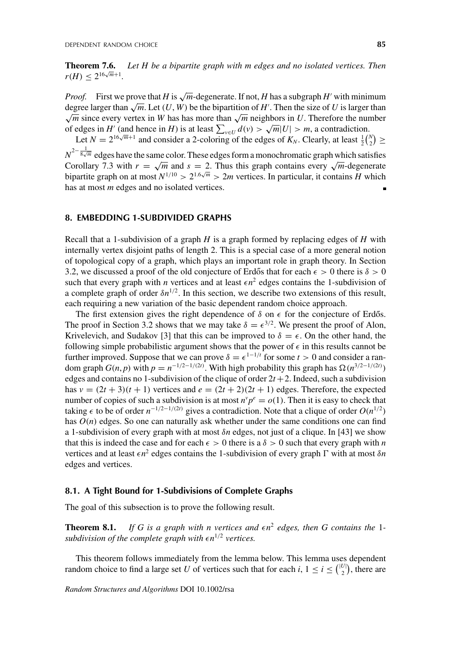**Theorem 7.6.** *Let H be a bipartite graph with m edges and no isolated vertices. Then*  $r(H) < 2^{16\sqrt{m}+1}$ .

*Proof.* First we prove that *H* is  $\sqrt{m}$ -degenerate. If not, *H* has a subgraph *H*<sup> $\prime$ </sup> with minimum degree larger than  $\sqrt{m}$ . Let  $(U, W)$  be the bipartition of *H*'. Then the size of *U* is larger than  $\sqrt{m}$  since every vertex in *W* has has more than  $\sqrt{m}$  neighbors in *U*. Therefore the number of edges in *H*<sup>'</sup> (and hence in *H*) is at least  $\sum_{v \in U} d(v) > \sqrt{m}|U| > m$ , a contradiction.

Let  $N = 2^{16\sqrt{m}+1}$  and consider a 2-coloring of the edges of  $K_N$ . Clearly, at least  $\frac{1}{2} {N \choose 2} \ge$  $N^{2-\frac{1}{8\sqrt{m}}}$  edges have the same color. These edges form a monochromatic graph which satisfies Corollary 7.3 with  $r = \sqrt{m}$  and  $s = 2$ . Thus this graph contains every  $\sqrt{m}$ -degenerate bipartite graph on at most  $N^{1/10} > 2^{1.6\sqrt{m}} > 2m$  vertices. In particular, it contains *H* which has at most *m* edges and no isolated vertices.

#### **8. EMBEDDING 1-SUBDIVIDED GRAPHS**

Recall that a 1-subdivision of a graph *H* is a graph formed by replacing edges of *H* with internally vertex disjoint paths of length 2. This is a special case of a more general notion of topological copy of a graph, which plays an important role in graph theory. In Section 3.2, we discussed a proof of the old conjecture of Erdős that for each  $\epsilon > 0$  there is  $\delta > 0$ such that every graph with *n* vertices and at least  $\epsilon n^2$  edges contains the 1-subdivision of a complete graph of order  $\delta n^{1/2}$ . In this section, we describe two extensions of this result, each requiring a new variation of the basic dependent random choice approach.

The first extension gives the right dependence of  $\delta$  on  $\epsilon$  for the conjecture of Erdős. The proof in Section 3.2 shows that we may take  $\delta = \epsilon^{3/2}$ . We present the proof of Alon, Krivelevich, and Sudakov [3] that this can be improved to  $\delta = \epsilon$ . On the other hand, the following simple probabilistic argument shows that the power of  $\epsilon$  in this results cannot be further improved. Suppose that we can prove  $\delta = \epsilon^{1-1/t}$  for some  $t > 0$  and consider a random graph *G*(*n*, *p*) with  $p = n^{-1/2 - 1/(2t)}$ . With high probability this graph has  $\Omega(n^{3/2 - 1/(2t)})$ edges and contains no 1-subdivision of the clique of order  $2t + 2$ . Indeed, such a subdivision has  $v = (2t + 3)(t + 1)$  vertices and  $e = (2t + 2)(2t + 1)$  edges. Therefore, the expected number of copies of such a subdivision is at most  $n^{\nu}p^e = o(1)$ . Then it is easy to check that taking  $\epsilon$  to be of order  $n^{-1/2-1/(2t)}$  gives a contradiction. Note that a clique of order  $O(n^{1/2})$ has *O*(*n*) edges. So one can naturally ask whether under the same conditions one can find a 1-subdivision of every graph with at most δ*n* edges, not just of a clique. In [43] we show that this is indeed the case and for each  $\epsilon > 0$  there is a  $\delta > 0$  such that every graph with *n* vertices and at least  $\epsilon n^2$  edges contains the 1-subdivision of every graph  $\Gamma$  with at most  $\delta n$ edges and vertices.

# **8.1. A Tight Bound for 1-Subdivisions of Complete Graphs**

The goal of this subsection is to prove the following result.

**Theorem 8.1.** If G is a graph with n vertices and  $\epsilon n^2$  edges, then G contains the 1*subdivision of the complete graph with*  $\epsilon n^{1/2}$  *vertices.* 

This theorem follows immediately from the lemma below. This lemma uses dependent random choice to find a large set *U* of vertices such that for each *i*,  $1 \le i \le {\binom{|U|}{2}}$ , there are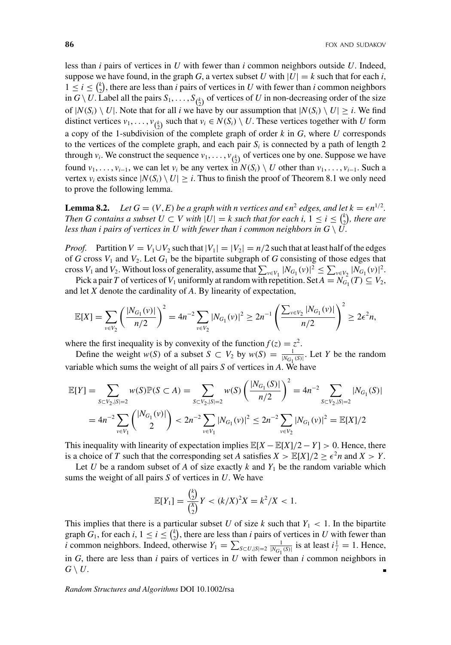less than *i* pairs of vertices in *U* with fewer than *i* common neighbors outside *U*. Indeed, suppose we have found, in the graph *G*, a vertex subset *U* with  $|U| = k$  such that for each *i*,  $1 \leq i \leq {k \choose 2}$ , there are less than *i* pairs of vertices in *U* with fewer than *i* common neighbors in  $G \setminus U$ . Label all the pairs  $S_1, \ldots, S_{\binom{k}{2}}$  of vertices of *U* in non-decreasing order of the size of  $|N(S_i) \setminus U|$ . Note that for all *i* we have by our assumption that  $|N(S_i) \setminus U| \geq i$ . We find distinct vertices  $v_1, \ldots, v_{\binom{k}{2}}$  such that  $v_i \in N(S_i) \setminus U$ . These vertices together with *U* form a copy of the 1-subdivision of the complete graph of order *k* in *G*, where *U* corresponds to the vertices of the complete graph, and each pair  $S_i$  is connected by a path of length 2 through  $v_i$ . We construct the sequence  $v_1, \ldots, v_{\binom{k}{2}}$  of vertices one by one. Suppose we have found  $v_1, \ldots, v_{i-1}$ , we can let  $v_i$  be any vertex in  $N(S_i) \setminus U$  other than  $v_1, \ldots, v_{i-1}$ . Such a vertex  $v_i$  exists since  $|N(S_i) \setminus U| \geq i$ . Thus to finish the proof of Theorem 8.1 we only need to prove the following lemma.

**Lemma 8.2.** *Let*  $G = (V, E)$  *be a graph with n vertices and*  $\epsilon n^2$  *edges, and let*  $k = \epsilon n^{1/2}$ *. Then G contains a subset*  $U \subset V$  *with*  $|U| = k$  *such that for each i,*  $1 \leq i \leq {k \choose 2}$ *, there are less than i pairs of vertices in U with fewer than i common neighbors in*  $G \setminus U$ *.* 

*Proof.* Partition  $V = V_1 \cup V_2$  such that  $|V_1| = |V_2| = n/2$  such that at least half of the edges of *G* cross  $V_1$  and  $V_2$ . Let  $G_1$  be the bipartite subgraph of *G* consisting of those edges that cross *V*<sub>1</sub> and *V*<sub>2</sub>. Without loss of generality, assume that  $\sum_{v \in V_1} |N_{G_1}(v)|^2 \le \sum_{v \in V_2} |N_{G_1}(v)|^2$ .

Pick a pair *T* of vertices of  $V_1$  uniformly at random with repetition. Set  $A = N_{G_1}(T) \subseteq V_2$ , and let *X* denote the cardinality of *A*. By linearity of expectation,

$$
\mathbb{E}[X] = \sum_{v \in V_2} \left( \frac{|N_{G_1}(v)|}{n/2} \right)^2 = 4n^{-2} \sum_{v \in V_2} |N_{G_1}(v)|^2 \ge 2n^{-1} \left( \frac{\sum_{v \in V_2} |N_{G_1}(v)|}{n/2} \right)^2 \ge 2\epsilon^2 n,
$$

where the first inequality is by convexity of the function  $f(z) = z^2$ .

Define the weight *w*(*S*) of a subset  $S \subset V_2$  by  $w(S) = \frac{1}{|N_{G_1}(S)|}$ . Let *Y* be the random variable which sums the weight of all pairs *S* of vertices in *A*. We have

$$
\mathbb{E}[Y] = \sum_{S \subset V_2, |S|=2} w(S) \mathbb{P}(S \subset A) = \sum_{S \subset V_2, |S|=2} w(S) \left(\frac{|N_{G_1}(S)|}{n/2}\right)^2 = 4n^{-2} \sum_{S \subset V_2, |S|=2} |N_{G_1}(S)|
$$
  
=  $4n^{-2} \sum_{v \in V_1} { |N_{G_1}(v)| \choose 2} < 2n^{-2} \sum_{v \in V_1} |N_{G_1}(v)|^2 \le 2n^{-2} \sum_{v \in V_2} |N_{G_1}(v)|^2 = \mathbb{E}[X]/2$ 

This inequality with linearity of expectation implies  $\mathbb{E}[X - \mathbb{E}[X]/2 - Y] > 0$ . Hence, there is a choice of *T* such that the corresponding set *A* satisfies  $X > \mathbb{E}[X]/2 \ge \epsilon^2 n$  and  $X > Y$ .

Let *U* be a random subset of *A* of size exactly *k* and  $Y_1$  be the random variable which sums the weight of all pairs *S* of vertices in *U*. We have

$$
\mathbb{E}[Y_1] = \frac{\binom{k}{2}}{\binom{X}{2}} Y < (k/X)^2 X = k^2/X < 1.
$$

This implies that there is a particular subset *U* of size *k* such that  $Y_1 < 1$ . In the bipartite graph  $G_1$ , for each  $i, 1 \le i \le {k \choose 2}$ , there are less than *i* pairs of vertices in *U* with fewer than *i* common neighbors. Indeed, otherwise  $Y_1 = \sum_{S \subset U, |S|=2} \frac{1}{|N_{G_1}(S)|}$  is at least  $i\frac{1}{i} = 1$ . Hence, in *G*, there are less than *i* pairs of vertices in *U* with fewer than *i* common neighbors in  $G \setminus U$ .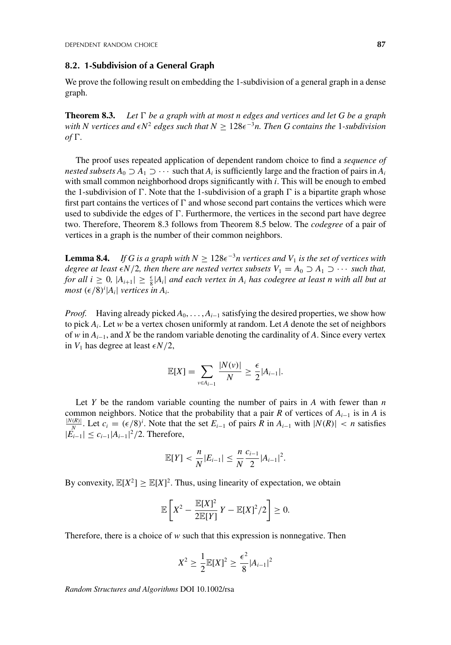## **8.2. 1-Subdivision of a General Graph**

We prove the following result on embedding the 1-subdivision of a general graph in a dense graph.

**Theorem 8.3.** Let  $\Gamma$  be a graph with at most n edges and vertices and let G be a graph  $with N$  vertices and  $\epsilon N^2$  edges such that  $N \geq 128\epsilon^{-3}n$ . Then G contains the 1-subdivision *of*  $\Gamma$ .

The proof uses repeated application of dependent random choice to find a *sequence of nested subsets*  $A_0 \supseteq A_1 \supseteq \cdots$  such that  $A_i$  is sufficiently large and the fraction of pairs in  $A_i$ with small common neighborhood drops significantly with *i*. This will be enough to embed the 1-subdivision of  $\Gamma$ . Note that the 1-subdivision of a graph  $\Gamma$  is a bipartite graph whose first part contains the vertices of  $\Gamma$  and whose second part contains the vertices which were used to subdivide the edges of  $\Gamma$ . Furthermore, the vertices in the second part have degree two. Therefore, Theorem 8.3 follows from Theorem 8.5 below. The *codegree* of a pair of vertices in a graph is the number of their common neighbors.

**Lemma 8.4.** *If G is a graph with*  $N \geq 128e^{-3}n$  vertices and  $V_1$  *is the set of vertices with degree at least*  $\epsilon N/2$ , then there are nested vertex subsets  $V_1 = A_0 \supset A_1 \supset \cdots$  such that, *for all i*  $\geq$  0*,*  $|A_{i+1}| \geq \frac{\epsilon}{8} |A_i|$  *and each vertex in*  $A_i$  *has codegree at least n with all but at*  $most \left(\frac{\epsilon}{8}\right)^i |A_i|$  *vertices in A<sub>i</sub>*.

*Proof.* Having already picked  $A_0, \ldots, A_{i-1}$  satisfying the desired properties, we show how to pick *Ai*. Let *w* be a vertex chosen uniformly at random. Let *A* denote the set of neighbors of *w* in *Ai*−1, and *X* be the random variable denoting the cardinality of *A*. Since every vertex in  $V_1$  has degree at least  $\epsilon N/2$ ,

$$
\mathbb{E}[X] = \sum_{v \in A_{i-1}} \frac{|N(v)|}{N} \ge \frac{\epsilon}{2} |A_{i-1}|.
$$

Let  $Y$  be the random variable counting the number of pairs in  $A$  with fewer than  $n$ common neighbors. Notice that the probability that a pair *R* of vertices of  $A_{i-1}$  is in *A* is  $\frac{|N(R)|}{N}$ . Let  $c_i$  = ( $\epsilon/8$ )<sup>*i*</sup>. Note that the set  $E_{i-1}$  of pairs *R* in  $A_{i-1}$  with  $|N(R)| < n$  satisfies  $|E_{i-1}|$  ≤  $c_{i-1}|A_{i-1}|^2/2$ . Therefore,

$$
\mathbb{E}[Y] < \frac{n}{N} |E_{i-1}| \leq \frac{n}{N} \frac{c_{i-1}}{2} |A_{i-1}|^2.
$$

By convexity,  $\mathbb{E}[X^2] \geq \mathbb{E}[X]^2$ . Thus, using linearity of expectation, we obtain

$$
\mathbb{E}\left[X^2 - \frac{\mathbb{E}[X]^2}{2\mathbb{E}[Y]}Y - \mathbb{E}[X]^2/2\right] \geq 0.
$$

Therefore, there is a choice of *w* such that this expression is nonnegative. Then

$$
X^{2} \geq \frac{1}{2} \mathbb{E}[X]^{2} \geq \frac{\epsilon^{2}}{8} |A_{i-1}|^{2}
$$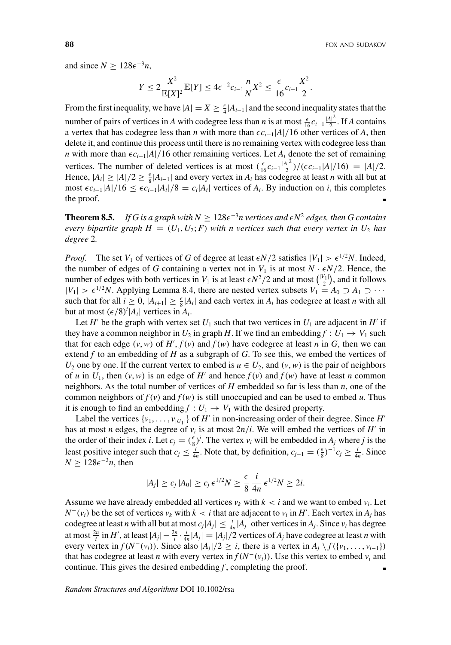and since  $N \ge 128\epsilon^{-3}n$ ,

$$
Y \le 2 \frac{X^2}{\mathbb{E}[X]^2} \mathbb{E}[Y] \le 4\epsilon^{-2} c_{i-1} \frac{n}{N} X^2 \le \frac{\epsilon}{16} c_{i-1} \frac{X^2}{2}.
$$

From the first inequality, we have  $|A| = X \ge \frac{\epsilon}{4} |A_{i-1}|$  and the second inequality states that the number of pairs of vertices in *A* with codegree less than *n* is at most  $\frac{\epsilon}{16}c_{i-1}\frac{|A|^2}{2}$ . If *A* contains a vertex that has codegree less than *n* with more than  $\epsilon c_{i-1}$ |*A*|/16 other vertices of *A*, then delete it, and continue this process until there is no remaining vertex with codegree less than *n* with more than  $\epsilon c_{i-1}$ |*A*|/16 other remaining vertices. Let *A<sub>i</sub>* denote the set of remaining vertices. The number of deleted vertices is at most  $\left(\frac{\epsilon}{16}c_{i-1}\frac{|A|^2}{2}\right)/(\epsilon c_{i-1}|A|/16) = |A|/2$ . Hence,  $|A_i| \geq |A|/2 \geq \frac{\epsilon}{8}|A_{i-1}|$  and every vertex in  $A_i$  has codegree at least *n* with all but at most  $\epsilon c_{i-1}|A|/16 \leq \epsilon c_{i-1}|A_i|/8 = c_i|A_i|$  vertices of  $A_i$ . By induction on *i*, this completes the proof.

**Theorem 8.5.** *If G is a graph with*  $N \geq 128\epsilon^{-3}n$  vertices and  $\epsilon N^2$  edges, then G contains *every bipartite graph*  $H = (U_1, U_2; F)$  *with n vertices such that every vertex in*  $U_2$  *has degree* 2*.*

*Proof.* The set  $V_1$  of vertices of *G* of degree at least  $\epsilon N/2$  satisfies  $|V_1| > \epsilon^{1/2} N$ . Indeed, the number of edges of *G* containing a vertex not in  $V_1$  is at most  $N \cdot \epsilon N/2$ . Hence, the number of edges with both vertices in  $V_1$  is at least  $\epsilon N^2/2$  and at most  $\binom{|V_1|}{2}$ , and it follows  $|V_1| > \epsilon^{1/2}N$ . Applying Lemma 8.4, there are nested vertex subsets  $V_1 = A_0 \supset A_1 \supset \cdots$ such that for all  $i \geq 0$ ,  $|A_{i+1}| \geq \frac{\epsilon}{8} |A_i|$  and each vertex in  $A_i$  has codegree at least *n* with all but at most  $(\epsilon/8)^i |A_i|$  vertices in  $A_i$ .

Let *H'* be the graph with vertex set  $U_1$  such that two vertices in  $U_1$  are adjacent in *H'* if they have a common neighbor in  $U_2$  in graph *H*. If we find an embedding  $f : U_1 \to V_1$  such that for each edge  $(v, w)$  of  $H'$ ,  $f(v)$  and  $f(w)$  have codegree at least *n* in *G*, then we can extend *f* to an embedding of *H* as a subgraph of *G*. To see this, we embed the vertices of *U*<sub>2</sub> one by one. If the current vertex to embed is  $u \in U_2$ , and  $(v, w)$  is the pair of neighbors of *u* in  $U_1$ , then  $(v, w)$  is an edge of  $H'$  and hence  $f(v)$  and  $f(w)$  have at least *n* common neighbors. As the total number of vertices of *H* embedded so far is less than *n*, one of the common neighbors of  $f(v)$  and  $f(w)$  is still unoccupied and can be used to embed *u*. Thus it is enough to find an embedding  $f: U_1 \to V_1$  with the desired property.

Label the vertices  $\{v_1, \ldots, v_{|U_1|}\}$  of *H*' in non-increasing order of their degree. Since *H*' has at most *n* edges, the degree of  $v_i$  is at most  $2n/i$ . We will embed the vertices of *H*<sup>'</sup> in the order of their index *i*. Let  $c_j = (\frac{\epsilon}{8})^j$ . The vertex  $v_i$  will be embedded in  $A_j$  where *j* is the least positive integer such that  $c_j \leq \frac{i}{4n}$ . Note that, by definition,  $c_{j-1} = (\frac{\epsilon}{8})^{-1} c_j \geq \frac{i}{4n}$ . Since  $N \geq 128\epsilon^{-3}n$ , then

$$
|A_j| \geq c_j |A_0| \geq c_j \epsilon^{1/2} N \geq \frac{\epsilon}{8} \frac{i}{4n} \epsilon^{1/2} N \geq 2i.
$$

Assume we have already embedded all vertices  $v_k$  with  $k < i$  and we want to embed  $v_i$ . Let  $N^-(v_i)$  be the set of vertices  $v_k$  with  $k < i$  that are adjacent to  $v_i$  in  $H'$ . Each vertex in  $A_j$  has codegree at least *n* with all but at most  $c_j|A_j| \leq \frac{i}{4n}|A_j|$  other vertices in  $A_j$ . Since  $v_i$  has degree at most  $\frac{2n}{i}$  in *H'*, at least  $|A_j| - \frac{2n}{i} \cdot \frac{i}{4n}|A_j| = |A_j|/2$  vertices of  $A_j$  have codegree at least *n* with every vertex in  $f(N^-(v_i))$ . Since also  $|A_j|/2 \geq i$ , there is a vertex in  $A_j \setminus f(\{v_1, \ldots, v_{i-1}\})$ that has codegree at least *n* with every vertex in  $f(N^-(v_i))$ . Use this vertex to embed  $v_i$  and continue. This gives the desired embedding *f* , completing the proof.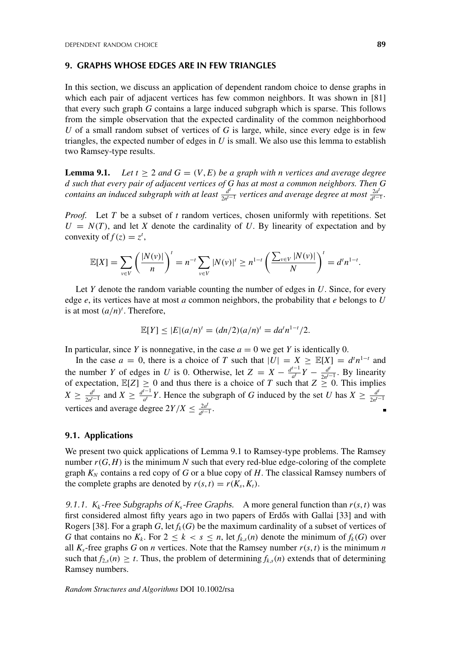#### **9. GRAPHS WHOSE EDGES ARE IN FEW TRIANGLES**

In this section, we discuss an application of dependent random choice to dense graphs in which each pair of adjacent vertices has few common neighbors. It was shown in [81] that every such graph *G* contains a large induced subgraph which is sparse. This follows from the simple observation that the expected cardinality of the common neighborhood *U* of a small random subset of vertices of *G* is large, while, since every edge is in few triangles, the expected number of edges in *U* is small. We also use this lemma to establish two Ramsey-type results.

**Lemma 9.1.** Let  $t \geq 2$  and  $G = (V, E)$  be a graph with n vertices and average degree *d such that every pair of adjacent vertices of G has at most a common neighbors. Then G contains an induced subgraph with at least*  $\frac{d}{2n^{t-1}}$  *vertices and average degree at most*  $\frac{2d}{d^{t-1}}$ *.* 

*Proof.* Let *T* be a subset of *t* random vertices, chosen uniformly with repetitions. Set  $U = N(T)$ , and let *X* denote the cardinality of *U*. By linearity of expectation and by convexity of  $f(z) = z^t$ ,

$$
\mathbb{E}[X] = \sum_{v \in V} \left( \frac{|N(v)|}{n} \right)^t = n^{-t} \sum_{v \in V} |N(v)|^t \ge n^{1-t} \left( \frac{\sum_{v \in V} |N(v)|}{N} \right)^t = d^t n^{1-t}.
$$

Let *Y* denote the random variable counting the number of edges in *U*. Since, for every edge *e*, its vertices have at most *a* common neighbors, the probability that *e* belongs to *U* is at most  $(a/n)^t$ . Therefore,

$$
\mathbb{E}[Y] \le |E|(a/n)^{t} = (dn/2)(a/n)^{t} = da^{t}n^{1-t}/2.
$$

In particular, since *Y* is nonnegative, in the case  $a = 0$  we get *Y* is identically 0.

In the case  $a = 0$ , there is a choice of *T* such that  $|U| = X \ge \mathbb{E}[X] = d^n n^{1-t}$  and the number *Y* of edges in *U* is 0. Otherwise, let  $Z = X - \frac{d^{t-1}}{a^t}Y - \frac{d^t}{2a^{t-1}}$ . By linearity of expectation,  $\mathbb{E}[Z] \geq 0$  and thus there is a choice of *T* such that  $Z \geq 0$ . This implies  $X \ge \frac{d^t}{2n^{t-1}}$  and  $X \ge \frac{d^{t-1}}{a^t}Y$ . Hence the subgraph of *G* induced by the set *U* has  $X \ge \frac{d^t}{2n^{t-1}}$ vertices and average degree  $2Y/X \leq \frac{2a^t}{d^{t-1}}$ . п

# **9.1. Applications**

We present two quick applications of Lemma 9.1 to Ramsey-type problems. The Ramsey number  $r(G, H)$  is the minimum N such that every red-blue edge-coloring of the complete graph  $K_N$  contains a red copy of *G* or a blue copy of *H*. The classical Ramsey numbers of the complete graphs are denoted by  $r(s, t) = r(K_s, K_t)$ .

*9.1.1.*  $K_k$ -Free Subgraphs of  $K_s$ -Free Graphs. A more general function than  $r(s, t)$  was first considered almost fifty years ago in two papers of Erdős with Gallai [33] and with Rogers [38]. For a graph *G*, let  $f_k(G)$  be the maximum cardinality of a subset of vertices of *G* that contains no  $K_k$ . For  $2 \leq k < s \leq n$ , let  $f_{k,s}(n)$  denote the minimum of  $f_k(G)$  over all  $K_s$ -free graphs *G* on *n* vertices. Note that the Ramsey number  $r(s, t)$  is the minimum *n* such that  $f_{2,s}(n) \geq t$ . Thus, the problem of determining  $f_{k,s}(n)$  extends that of determining Ramsey numbers.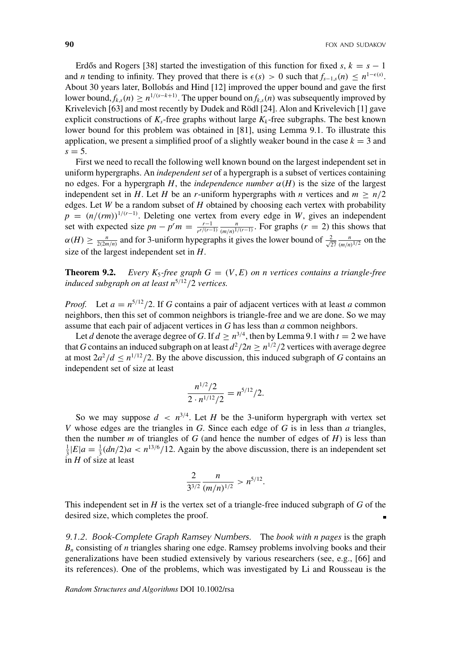Erdős and Rogers [38] started the investigation of this function for fixed  $s, k = s - 1$ and *n* tending to infinity. They proved that there is  $\epsilon(s) > 0$  such that  $f_{s-1,s}(n) \leq n^{1-\epsilon(s)}$ . About 30 years later, Bollobás and Hind [12] improved the upper bound and gave the first lower bound,  $f_{k,s}(n) \geq n^{1/(s-k+1)}$ . The upper bound on  $f_{k,s}(n)$  was subsequently improved by Krivelevich [63] and most recently by Dudek and Rödl [24]. Alon and Krivelevich [1] gave explicit constructions of  $K_s$ -free graphs without large  $K_k$ -free subgraphs. The best known lower bound for this problem was obtained in [81], using Lemma 9.1. To illustrate this application, we present a simplified proof of a slightly weaker bound in the case  $k = 3$  and  $s = 5$ .

First we need to recall the following well known bound on the largest independent set in uniform hypergraphs. An *independent set* of a hypergraph is a subset of vertices containing no edges. For a hypergraph *H*, the *independence number*  $\alpha(H)$  is the size of the largest independent set in *H*. Let *H* be an *r*-uniform hypergraphs with *n* vertices and  $m \ge n/2$ edges. Let *W* be a random subset of *H* obtained by choosing each vertex with probability  $p = (n/(rm))^{1/(r-1)}$ . Deleting one vertex from every edge in *W*, gives an independent set with expected size  $pn - p^r m = \frac{r-1}{r^{r/(r-1)}} \frac{n}{(m/n)^{1/(r-1)}}$ . For graphs  $(r = 2)$  this shows that  $\alpha(H) \ge \frac{n}{2(2m/n)}$  and for 3-uniform hypegraphs it gives the lower bound of  $\frac{2}{\sqrt{27}} \frac{n}{(m/n)^{1/2}}$  on the size of the largest independent set in *H*.

**Theorem 9.2.** *Every K<sub>5</sub>-free graph*  $G = (V, E)$  *on n vertices contains a triangle-free induced subgraph on at least n*<sup>5</sup>/<sup>12</sup>/2 *vertices.*

*Proof.* Let  $a = n^{5/12}/2$ . If *G* contains a pair of adjacent vertices with at least *a* common neighbors, then this set of common neighbors is triangle-free and we are done. So we may assume that each pair of adjacent vertices in *G* has less than *a* common neighbors.

Let *d* denote the average degree of *G*. If  $d \geq n^{3/4}$ , then by Lemma 9.1 with  $t = 2$  we have that *G* contains an induced subgraph on at least  $d^2/2n \ge n^{1/2}/2$  vertices with average degree at most  $2a^2/d \le n^{1/12}/2$ . By the above discussion, this induced subgraph of *G* contains an independent set of size at least

$$
\frac{n^{1/2}/2}{2 \cdot n^{1/12}/2} = n^{5/12}/2.
$$

So we may suppose  $d \leq n^{3/4}$ . Let *H* be the 3-uniform hypergraph with vertex set *V* whose edges are the triangles in *G*. Since each edge of *G* is in less than *a* triangles, then the number  $m$  of triangles of  $G$  (and hence the number of edges of  $H$ ) is less than  $\frac{1}{3}|E|a = \frac{1}{3}(dn/2)a < n^{13/6}/12$ . Again by the above discussion, there is an independent set in *H* of size at least

$$
\frac{2}{3^{3/2}}\frac{n}{(m/n)^{1/2}} > n^{5/12}.
$$

This independent set in *H* is the vertex set of a triangle-free induced subgraph of *G* of the desired size, which completes the proof. Ė

*9.1.2. Book-Complete Graph Ramsey Numbers.* The *book with n pages* is the graph *Bn* consisting of *n* triangles sharing one edge. Ramsey problems involving books and their generalizations have been studied extensively by various researchers (see, e.g., [66] and its references). One of the problems, which was investigated by Li and Rousseau is the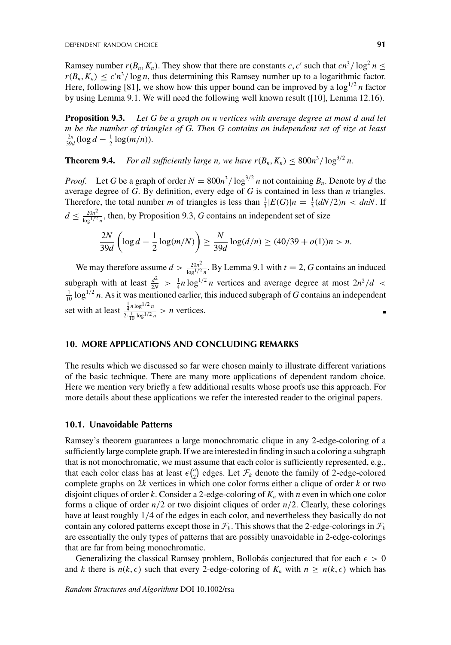Ramsey number  $r(B_n, K_n)$ . They show that there are constants *c*, *c*' such that  $cn^3/\log^2 n \le$  $r(B_n, K_n) \leq c'n^3/\log n$ , thus determining this Ramsey number up to a logarithmic factor. Here, following [81], we show how this upper bound can be improved by a  $\log^{1/2} n$  factor by using Lemma 9.1. We will need the following well known result ([10], Lemma 12.16).

**Proposition 9.3.** *Let G be a graph on n vertices with average degree at most d and let m be the number of triangles of G. Then G contains an independent set of size at least*  $\frac{2n}{39d}(\log d - \frac{1}{2}\log(m/n)).$ 

**Theorem 9.4.** *For all sufficiently large n, we have*  $r(B_n, K_n) \leq 800n^3/\log^{3/2} n$ *.* 

*Proof.* Let *G* be a graph of order  $N = 800n^3 / \log^{3/2} n$  not containing  $B_n$ . Denote by *d* the average degree of *G*. By definition, every edge of *G* is contained in less than *n* triangles. Therefore, the total number *m* of triangles is less than  $\frac{1}{3}|E(G)|n = \frac{1}{3}(dN/2)n < dnN$ . If  $d \leq \frac{20n^2}{\log^{1/2} n}$ , then, by Proposition 9.3, *G* contains an independent set of size

$$
\frac{2N}{39d} \left( \log d - \frac{1}{2} \log(m/N) \right) \ge \frac{N}{39d} \log(d/n) \ge (40/39 + o(1))n > n.
$$

We may therefore assume  $d > \frac{20n^2}{\log^{1/2} n}$ . By Lemma 9.1 with  $t = 2$ , *G* contains an induced subgraph with at least  $\frac{d^2}{2N} > \frac{1}{4}n \log^{1/2} n$  vertices and average degree at most  $2n^2/d < \frac{1}{10} \log^{1/2} n$ . As it was mentioned earlier, this induced subgraph of G contains an independent set with at least  $\frac{\frac{1}{4}n \log^{1/2} n}{\frac{1}{2} \log^{1/2} n}$  $\frac{\frac{1}{4}n\log^{n} n}{2\cdot\frac{1}{10}\log^{1/2} n} > n$  vertices.

# **10. MORE APPLICATIONS AND CONCLUDING REMARKS**

The results which we discussed so far were chosen mainly to illustrate different variations of the basic technique. There are many more applications of dependent random choice. Here we mention very briefly a few additional results whose proofs use this approach. For more details about these applications we refer the interested reader to the original papers.

#### **10.1. Unavoidable Patterns**

Ramsey's theorem guarantees a large monochromatic clique in any 2-edge-coloring of a sufficiently large complete graph. If we are interested in finding in such a coloring a subgraph that is not monochromatic, we must assume that each color is sufficiently represented, e.g., that each color class has at least  $\epsilon \binom{n}{2}$  edges. Let  $\mathcal{F}_k$  denote the family of 2-edge-colored complete graphs on 2*k* vertices in which one color forms either a clique of order *k* or two disjoint cliques of order  $k$ . Consider a 2-edge-coloring of  $K_n$  with  $n$  even in which one color forms a clique of order  $n/2$  or two disjoint cliques of order  $n/2$ . Clearly, these colorings have at least roughly 1/4 of the edges in each color, and nevertheless they basically do not contain any colored patterns except those in  $\mathcal{F}_k$ . This shows that the 2-edge-colorings in  $\mathcal{F}_k$ are essentially the only types of patterns that are possibly unavoidable in 2-edge-colorings that are far from being monochromatic.

Generalizing the classical Ramsey problem, Bollobás conjectured that for each  $\epsilon > 0$ and *k* there is  $n(k, \epsilon)$  such that every 2-edge-coloring of  $K_n$  with  $n \ge n(k, \epsilon)$  which has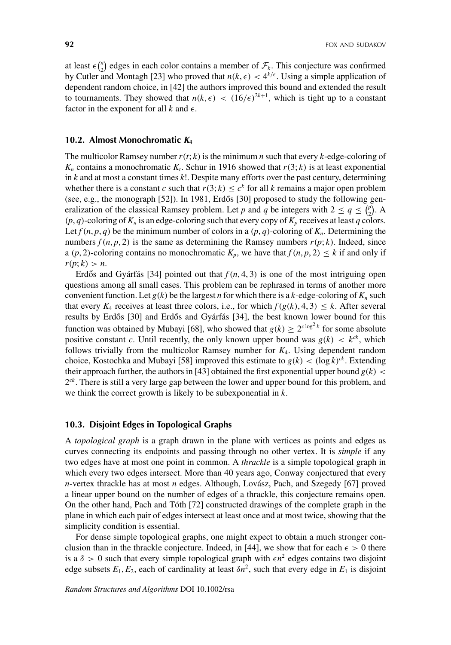at least  $\epsilon \binom{n}{2}$  edges in each color contains a member of  $\mathcal{F}_k$ . This conjecture was confirmed by Cutler and Montagh [23] who proved that  $n(k, \epsilon) < 4^{k/\epsilon}$ . Using a simple application of dependent random choice, in [42] the authors improved this bound and extended the result to tournaments. They showed that  $n(k, \epsilon) < (16/\epsilon)^{2k+1}$ , which is tight up to a constant factor in the exponent for all  $k$  and  $\epsilon$ .

#### **10.2. Almost Monochromatic** *K***<sup>4</sup>**

The multicolor Ramsey number  $r(t; k)$  is the minimum *n* such that every *k*-edge-coloring of  $K_n$  contains a monochromatic  $K_t$ . Schur in 1916 showed that  $r(3; k)$  is at least exponential in *k* and at most a constant times *k*!. Despite many efforts over the past century, determining whether there is a constant *c* such that  $r(3; k) \leq c^k$  for all *k* remains a major open problem (see, e.g., the monograph  $[52]$ ). In 1981, Erdős  $[30]$  proposed to study the following generalization of the classical Ramsey problem. Let *p* and *q* be integers with  $2 \le q \le {p \choose 2}$ . A  $(p, q)$ -coloring of  $K_n$  is an edge-coloring such that every copy of  $K_p$  receives at least  $q$  colors. Let  $f(n, p, q)$  be the minimum number of colors in a  $(p, q)$ -coloring of  $K_n$ . Determining the numbers  $f(n, p, 2)$  is the same as determining the Ramsey numbers  $r(p; k)$ . Indeed, since a  $(p, 2)$ -coloring contains no monochromatic  $K_p$ , we have that  $f(n, p, 2) \leq k$  if and only if  $r(p; k) > n$ .

Erdős and Gyárfás [34] pointed out that  $f(n, 4, 3)$  is one of the most intriguing open questions among all small cases. This problem can be rephrased in terms of another more convenient function. Let  $g(k)$  be the largest *n* for which there is a *k*-edge-coloring of  $K_n$  such that every  $K_4$  receives at least three colors, i.e., for which  $f(g(k), 4, 3) \leq k$ . After several results by Erdős [30] and Erdős and Gyárfás [34], the best known lower bound for this function was obtained by Mubayi [68], who showed that  $g(k) \ge 2^{c \log^2 k}$  for some absolute positive constant *c*. Until recently, the only known upper bound was  $g(k) < k^{ck}$ , which follows trivially from the multicolor Ramsey number for *K*4. Using dependent random choice, Kostochka and Mubayi [58] improved this estimate to  $g(k) < (\log k)^{ck}$ . Extending their approach further, the authors in [43] obtained the first exponential upper bound  $g(k)$  < 2*ck* . There is still a very large gap between the lower and upper bound for this problem, and we think the correct growth is likely to be subexponential in *k*.

#### **10.3. Disjoint Edges in Topological Graphs**

A *topological graph* is a graph drawn in the plane with vertices as points and edges as curves connecting its endpoints and passing through no other vertex. It is *simple* if any two edges have at most one point in common. A *thrackle* is a simple topological graph in which every two edges intersect. More than 40 years ago, Conway conjectured that every *n*-vertex thrackle has at most *n* edges. Although, Lovász, Pach, and Szegedy [67] proved a linear upper bound on the number of edges of a thrackle, this conjecture remains open. On the other hand, Pach and Tóth [72] constructed drawings of the complete graph in the plane in which each pair of edges intersect at least once and at most twice, showing that the simplicity condition is essential.

For dense simple topological graphs, one might expect to obtain a much stronger conclusion than in the thrackle conjecture. Indeed, in [44], we show that for each  $\epsilon > 0$  there is a  $\delta > 0$  such that every simple topological graph with  $\epsilon n^2$  edges contains two disjoint edge subsets  $E_1, E_2$ , each of cardinality at least  $\delta n^2$ , such that every edge in  $E_1$  is disjoint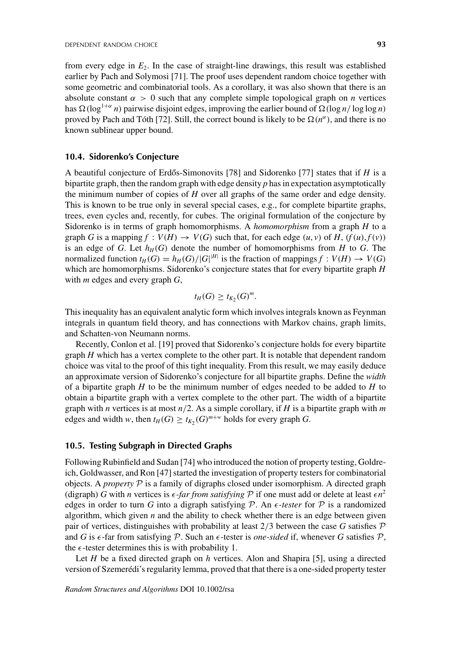from every edge in *E*2. In the case of straight-line drawings, this result was established earlier by Pach and Solymosi [71]. The proof uses dependent random choice together with some geometric and combinatorial tools. As a corollary, it was also shown that there is an absolute constant  $\alpha > 0$  such that any complete simple topological graph on *n* vertices has  $\Omega(\log^{1+\alpha} n)$  pairwise disjoint edges, improving the earlier bound of  $\Omega(\log n / \log \log n)$ proved by Pach and Tóth [72]. Still, the correct bound is likely to be  $\Omega(n^{\alpha})$ , and there is no known sublinear upper bound.

#### **10.4. Sidorenko's Conjecture**

A beautiful conjecture of Erdős-Simonovits [78] and Sidorenko [77] states that if  $H$  is a bipartite graph, then the random graph with edge density *p* has in expectation asymptotically the minimum number of copies of *H* over all graphs of the same order and edge density. This is known to be true only in several special cases, e.g., for complete bipartite graphs, trees, even cycles and, recently, for cubes. The original formulation of the conjecture by Sidorenko is in terms of graph homomorphisms. A *homomorphism* from a graph *H* to a graph *G* is a mapping  $f : V(H) \rightarrow V(G)$  such that, for each edge  $(u, v)$  of *H*,  $(f(u), f(v))$ is an edge of *G*. Let  $h_H(G)$  denote the number of homomorphisms from *H* to *G*. The normalized function  $t_H(G) = h_H(G)/|G|^{|H|}$  is the fraction of mappings  $f: V(H) \to V(G)$ which are homomorphisms. Sidorenko's conjecture states that for every bipartite graph *H* with *m* edges and every graph *G*,

$$
t_H(G) \geq t_{K_2}(G)^m.
$$

This inequality has an equivalent analytic form which involves integrals known as Feynman integrals in quantum field theory, and has connections with Markov chains, graph limits, and Schatten-von Neumann norms.

Recently, Conlon et al. [19] proved that Sidorenko's conjecture holds for every bipartite graph *H* which has a vertex complete to the other part. It is notable that dependent random choice was vital to the proof of this tight inequality. From this result, we may easily deduce an approximate version of Sidorenko's conjecture for all bipartite graphs. Define the *width* of a bipartite graph *H* to be the minimum number of edges needed to be added to *H* to obtain a bipartite graph with a vertex complete to the other part. The width of a bipartite graph with *n* vertices is at most *n*/2. As a simple corollary, if *H* is a bipartite graph with *m* edges and width *w*, then  $t_H(G) \ge t_{K_2}(G)^{m+w}$  holds for every graph *G*.

# **10.5. Testing Subgraph in Directed Graphs**

Following Rubinfield and Sudan [74] who introduced the notion of property testing, Goldreich, Goldwasser, and Ron [47] started the investigation of property testers for combinatorial objects. A *property*  $\mathcal P$  is a family of digraphs closed under isomorphism. A directed graph (digraph) *G* with *n* vertices is  $\epsilon$ -*far from satisfying*  $P$  if one must add or delete at least  $\epsilon n^2$ edges in order to turn *G* into a digraph satisfying  $P$ . An  $\epsilon$ -tester for  $P$  is a randomized algorithm, which given  $n$  and the ability to check whether there is an edge between given pair of vertices, distinguishes with probability at least  $2/3$  between the case *G* satisfies  $P$ and *G* is  $\epsilon$ -far from satisfying  $P$ . Such an  $\epsilon$ -tester is *one-sided* if, whenever *G* satisfies  $P$ , the  $\epsilon$ -tester determines this is with probability 1.

Let *H* be a fixed directed graph on *h* vertices. Alon and Shapira [5], using a directed version of Szemerédi's regularity lemma, proved that that there is a one-sided property tester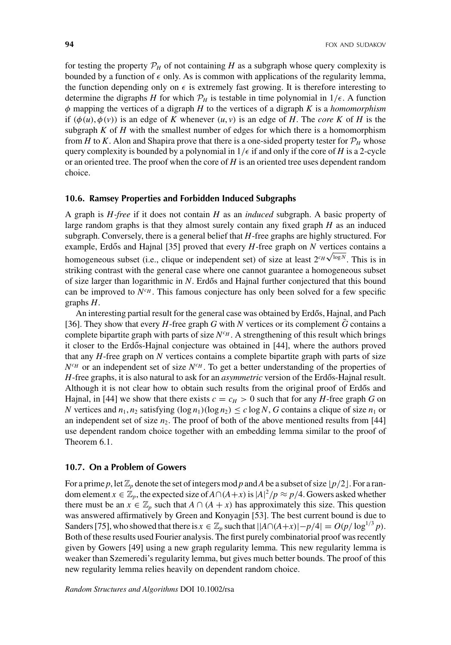for testing the property  $P_H$  of not containing *H* as a subgraph whose query complexity is bounded by a function of  $\epsilon$  only. As is common with applications of the regularity lemma, the function depending only on  $\epsilon$  is extremely fast growing. It is therefore interesting to determine the digraphs *H* for which  $P_H$  is testable in time polynomial in  $1/\epsilon$ . A function φ mapping the vertices of a digraph *H* to the vertices of a digraph *K* is a *homomorphism* if  $(\phi(u), \phi(v))$  is an edge of *K* whenever  $(u, v)$  is an edge of *H*. The *core K* of *H* is the subgraph  $K$  of  $H$  with the smallest number of edges for which there is a homomorphism from *H* to *K*. Alon and Shapira prove that there is a one-sided property tester for  $\mathcal{P}_H$  whose query complexity is bounded by a polynomial in  $1/\epsilon$  if and only if the core of *H* is a 2-cycle or an oriented tree. The proof when the core of *H* is an oriented tree uses dependent random choice.

#### **10.6. Ramsey Properties and Forbidden Induced Subgraphs**

A graph is *H-free* if it does not contain *H* as an *induced* subgraph. A basic property of large random graphs is that they almost surely contain any fixed graph *H* as an induced subgraph. Conversely, there is a general belief that *H*-free graphs are highly structured. For example, Erdős and Hajnal [35] proved that every  $H$ -free graph on  $N$  vertices contains a homogeneous subset (i.e., clique or independent set) of size at least  $2^{c_H \sqrt{\log N}}$ . This is in striking contrast with the general case where one cannot guarantee a homogeneous subset of size larger than logarithmic in *N*. Erdős and Hajnal further conjectured that this bound can be improved to  $N^{c_H}$ . This famous conjecture has only been solved for a few specific graphs *H*.

An interesting partial result for the general case was obtained by Erdős, Hajnal, and Pach [36]. They show that every *H*-free graph *G* with *N* vertices or its complement  $\bar{G}$  contains a complete bipartite graph with parts of size  $N^{c_H}$ . A strengthening of this result which brings it closer to the Erdős-Hajnal conjecture was obtained in [44], where the authors proved that any *H*-free graph on *N* vertices contains a complete bipartite graph with parts of size  $N^{c_H}$  or an independent set of size  $N^{c_H}$ . To get a better understanding of the properties of *H*-free graphs, it is also natural to ask for an *asymmetric* version of the Erdős-Hajnal result. Although it is not clear how to obtain such results from the original proof of Erdős and Hajnal, in [44] we show that there exists  $c = c_H > 0$  such that for any *H*-free graph *G* on *N* vertices and  $n_1, n_2$  satisfying  $(\log n_1)(\log n_2) \leq c \log N$ , *G* contains a clique of size  $n_1$  or an independent set of size  $n_2$ . The proof of both of the above mentioned results from [44] use dependent random choice together with an embedding lemma similar to the proof of Theorem 6.1.

## **10.7. On a Problem of Gowers**

For a prime p, let  $\mathbb{Z}_p$  denote the set of integers mod p and A be a subset of size  $\lfloor p/2 \rfloor$ . For a random element  $x \in \mathbb{Z}_p$ , the expected size of  $A \cap (A + x)$  is  $|A|^2/p \approx p/4$ . Gowers asked whether there must be an  $x \in \mathbb{Z}_p$  such that  $A \cap (A + x)$  has approximately this size. This question was answered affirmatively by Green and Konyagin [53]. The best current bound is due to Sanders [75], who showed that there is  $x \in \mathbb{Z}_p$  such that  $||A \cap (A+x)| - p/4| = O(p/\log^{1/3} p)$ . Both of these results used Fourier analysis. The first purely combinatorial proof was recently given by Gowers [49] using a new graph regularity lemma. This new regularity lemma is weaker than Szemeredi's regularity lemma, but gives much better bounds. The proof of this new regularity lemma relies heavily on dependent random choice.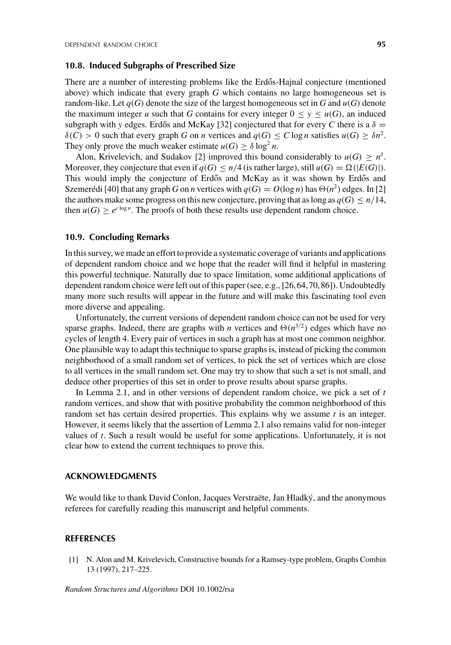#### **10.8. Induced Subgraphs of Prescribed Size**

There are a number of interesting problems like the Erdős-Hajnal conjecture (mentioned above) which indicate that every graph *G* which contains no large homogeneous set is random-like. Let  $q(G)$  denote the size of the largest homogeneous set in *G* and  $u(G)$  denote the maximum integer *u* such that *G* contains for every integer  $0 \le y \le u(G)$ , an induced subgraph with *y* edges. Erdős and McKay [32] conjectured that for every C there is a  $\delta =$  $\delta(C) > 0$  such that every graph *G* on *n* vertices and  $q(G) \le C \log n$  satisfies  $u(G) \ge \delta n^2$ . They only prove the much weaker estimate  $u(G) \ge \delta \log^2 n$ .

Alon, Krivelevich, and Sudakov [2] improved this bound considerably to  $u(G) \ge n^{\delta}$ . Moreover, they conjecture that even if  $q(G) \leq n/4$  (is rather large), still  $u(G) = \Omega(|E(G)|)$ . This would imply the conjecture of Erdős and McKay as it was shown by Erdős and Szemerédi [40] that any graph *G* on *n* vertices with  $q(G) = O(\log n)$  has  $\Theta(n^2)$  edges. In [2] the authors make some progress on this new conjecture, proving that as long as  $q(G) \leq n/14$ , then  $u(G) \geq e^{c \log n}$ . The proofs of both these results use dependent random choice.

#### **10.9. Concluding Remarks**

In this survey, we made an effort to provide a systematic coverage of variants and applications of dependent random choice and we hope that the reader will find it helpful in mastering this powerful technique. Naturally due to space limitation, some additional applications of dependent random choice were left out of this paper (see, e.g., [26,64,70,86]). Undoubtedly many more such results will appear in the future and will make this fascinating tool even more diverse and appealing.

Unfortunately, the current versions of dependent random choice can not be used for very sparse graphs. Indeed, there are graphs with *n* vertices and  $\Theta(n^{3/2})$  edges which have no cycles of length 4. Every pair of vertices in such a graph has at most one common neighbor. One plausible way to adapt this technique to sparse graphs is, instead of picking the common neighborhood of a small random set of vertices, to pick the set of vertices which are close to all vertices in the small random set. One may try to show that such a set is not small, and deduce other properties of this set in order to prove results about sparse graphs.

In Lemma 2.1, and in other versions of dependent random choice, we pick a set of *t* random vertices, and show that with positive probability the common neighborhood of this random set has certain desired properties. This explains why we assume *t* is an integer. However, it seems likely that the assertion of Lemma 2.1 also remains valid for non-integer values of *t*. Such a result would be useful for some applications. Unfortunately, it is not clear how to extend the current techniques to prove this.

#### **ACKNOWLEDGMENTS**

We would like to thank David Conlon, Jacques Verstraëte, Jan Hladký, and the anonymous referees for carefully reading this manuscript and helpful comments.

#### **REFERENCES**

[1] N. Alon and M. Krivelevich, Constructive bounds for a Ramsey-type problem, Graphs Combin 13 (1997), 217–225.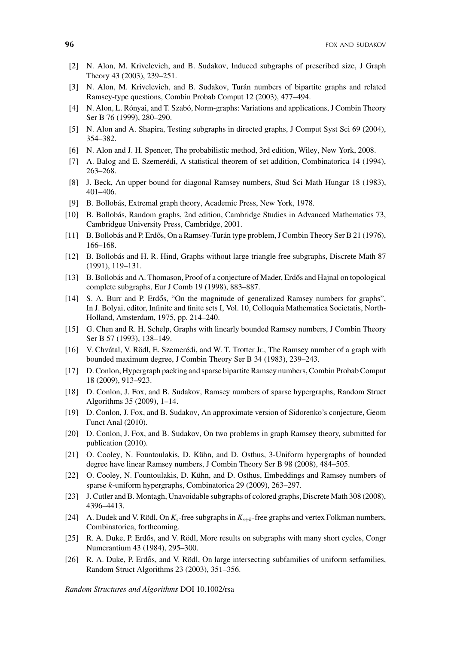- [2] N. Alon, M. Krivelevich, and B. Sudakov, Induced subgraphs of prescribed size, J Graph Theory 43 (2003), 239–251.
- [3] N. Alon, M. Krivelevich, and B. Sudakov, Turán numbers of bipartite graphs and related Ramsey-type questions, Combin Probab Comput 12 (2003), 477–494.
- [4] N. Alon, L. Rónyai, and T. Szabó, Norm-graphs: Variations and applications, J Combin Theory Ser B 76 (1999), 280–290.
- [5] N. Alon and A. Shapira, Testing subgraphs in directed graphs, J Comput Syst Sci 69 (2004), 354–382.
- [6] N. Alon and J. H. Spencer, The probabilistic method, 3rd edition, Wiley, New York, 2008.
- [7] A. Balog and E. Szemerédi, A statistical theorem of set addition, Combinatorica 14 (1994), 263–268.
- [8] J. Beck, An upper bound for diagonal Ramsey numbers, Stud Sci Math Hungar 18 (1983), 401–406.
- [9] B. Bollobás, Extremal graph theory, Academic Press, New York, 1978.
- [10] B. Bollobás, Random graphs, 2nd edition, Cambridge Studies in Advanced Mathematics 73, Cambridgue University Press, Cambridge, 2001.
- [11] B. Bollobás and P. Erdős, On a Ramsey-Turán type problem, J Combin Theory Ser B 21 (1976), 166–168.
- [12] B. Bollobás and H. R. Hind, Graphs without large triangle free subgraphs, Discrete Math 87 (1991), 119–131.
- [13] B. Bollobás and A. Thomason, Proof of a conjecture of Mader, Erdős and Hajnal on topological complete subgraphs, Eur J Comb 19 (1998), 883–887.
- $[14]$  S. A. Burr and P. Erdős, "On the magnitude of generalized Ramsey numbers for graphs", In J. Bolyai, editor, Infinite and finite sets I, Vol. 10, Colloquia Mathematica Societatis, North-Holland, Amsterdam, 1975, pp. 214–240.
- [15] G. Chen and R. H. Schelp, Graphs with linearly bounded Ramsey numbers, J Combin Theory Ser B 57 (1993), 138–149.
- [16] V. Chvátal, V. Rödl, E. Szemerédi, and W. T. Trotter Jr., The Ramsey number of a graph with bounded maximum degree, J Combin Theory Ser B 34 (1983), 239–243.
- [17] D. Conlon, Hypergraph packing and sparse bipartite Ramsey numbers, Combin Probab Comput 18 (2009), 913–923.
- [18] D. Conlon, J. Fox, and B. Sudakov, Ramsey numbers of sparse hypergraphs, Random Struct Algorithms 35 (2009), 1–14.
- [19] D. Conlon, J. Fox, and B. Sudakov, An approximate version of Sidorenko's conjecture, Geom Funct Anal (2010).
- [20] D. Conlon, J. Fox, and B. Sudakov, On two problems in graph Ramsey theory, submitted for publication (2010).
- [21] O. Cooley, N. Fountoulakis, D. Kühn, and D. Osthus, 3-Uniform hypergraphs of bounded degree have linear Ramsey numbers, J Combin Theory Ser B 98 (2008), 484–505.
- [22] O. Cooley, N. Fountoulakis, D. Kühn, and D. Osthus, Embeddings and Ramsey numbers of sparse *k*-uniform hypergraphs, Combinatorica 29 (2009), 263–297.
- [23] J. Cutler and B. Montagh, Unavoidable subgraphs of colored graphs, Discrete Math 308 (2008), 4396–4413.
- [24] A. Dudek and V. Rödl, On *Ks*-free subgraphs in *Ks*+*<sup>k</sup>* -free graphs and vertex Folkman numbers, Combinatorica, forthcoming.
- [25] R. A. Duke, P. Erdős, and V. Rödl, More results on subgraphs with many short cycles, Congr Numerantium 43 (1984), 295–300.
- [26] R. A. Duke, P. Erdős, and V. Rödl, On large intersecting subfamilies of uniform setfamilies, Random Struct Algorithms 23 (2003), 351–356.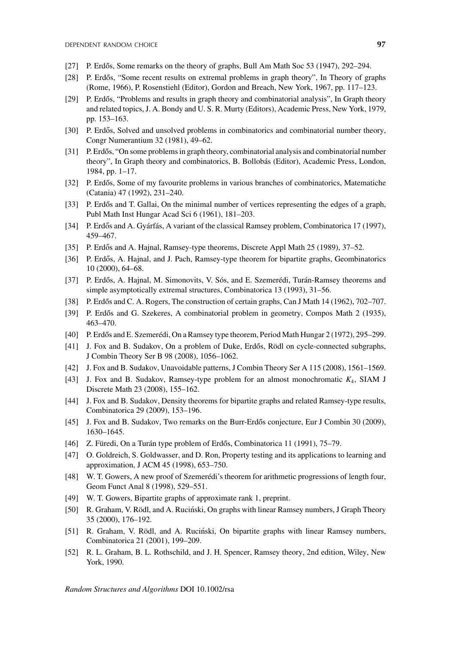- [27] P. Erdős, Some remarks on the theory of graphs, Bull Am Math Soc  $53$  (1947), 292–294.
- [28] P. Erdős, "Some recent results on extremal problems in graph theory", In Theory of graphs (Rome, 1966), P. Rosenstiehl (Editor), Gordon and Breach, New York, 1967, pp. 117–123.
- [29] P. Erdős, "Problems and results in graph theory and combinatorial analysis", In Graph theory and related topics, J. A. Bondy and U. S. R. Murty (Editors), Academic Press, New York, 1979, pp. 153–163.
- [30] P. Erdős, Solved and unsolved problems in combinatorics and combinatorial number theory, Congr Numerantium 32 (1981), 49–62.
- [31] P. Erdős, "On some problems in graph theory, combinatorial analysis and combinatorial number theory", In Graph theory and combinatorics, B. Bollobás (Editor), Academic Press, London, 1984, pp. 1–17.
- [32] P. Erdős, Some of my favourite problems in various branches of combinatorics, Matematiche (Catania) 47 (1992), 231–240.
- [33] P. Erdős and T. Gallai, On the minimal number of vertices representing the edges of a graph, Publ Math Inst Hungar Acad Sci 6 (1961), 181–203.
- [34] P. Erdős and A. Gyárfás, A variant of the classical Ramsey problem, Combinatorica 17 (1997), 459–467.
- [35] P. Erdős and A. Hajnal, Ramsey-type theorems, Discrete Appl Math 25 (1989), 37–52.
- [36] P. Erdős, A. Hajnal, and J. Pach, Ramsey-type theorem for bipartite graphs, Geombinatorics 10 (2000), 64–68.
- [37] P. Erdős, A. Hajnal, M. Simonovits, V. Sós, and E. Szemerédi, Turán-Ramsey theorems and simple asymptotically extremal structures, Combinatorica 13 (1993), 31–56.
- [38] P. Erdős and C. A. Rogers, The construction of certain graphs, Can J Math 14 (1962), 702–707.
- [39] P. Erdős and G. Szekeres, A combinatorial problem in geometry, Compos Math 2 (1935), 463–470.
- [40] P. Erdős and E. Szemerédi, On a Ramsey type theorem, Period Math Hungar 2 (1972), 295–299.
- [41] J. Fox and B. Sudakov, On a problem of Duke, Erdős, Rödl on cycle-connected subgraphs, J Combin Theory Ser B 98 (2008), 1056–1062.
- [42] J. Fox and B. Sudakov, Unavoidable patterns, J Combin Theory Ser A 115 (2008), 1561–1569.
- [43] J. Fox and B. Sudakov, Ramsey-type problem for an almost monochromatic *K*4, SIAM J Discrete Math 23 (2008), 155–162.
- [44] J. Fox and B. Sudakov, Density theorems for bipartite graphs and related Ramsey-type results, Combinatorica 29 (2009), 153–196.
- [45] J. Fox and B. Sudakov, Two remarks on the Burr-Erdős conjecture, Eur J Combin 30 (2009), 1630–1645.
- [46] Z. Füredi, On a Turán type problem of Erdős, Combinatorica 11 (1991), 75–79.
- [47] O. Goldreich, S. Goldwasser, and D. Ron, Property testing and its applications to learning and approximation, J ACM 45 (1998), 653–750.
- [48] W. T. Gowers, A new proof of Szemerédi's theorem for arithmetic progressions of length four, Geom Funct Anal 8 (1998), 529–551.
- [49] W. T. Gowers, Bipartite graphs of approximate rank 1, preprint.
- [50] R. Graham, V. Rödl, and A. Ruciński, On graphs with linear Ramsey numbers, J Graph Theory 35 (2000), 176–192.
- [51] R. Graham, V. Rödl, and A. Ruciński, On bipartite graphs with linear Ramsey numbers, Combinatorica 21 (2001), 199–209.
- [52] R. L. Graham, B. L. Rothschild, and J. H. Spencer, Ramsey theory, 2nd edition, Wiley, New York, 1990.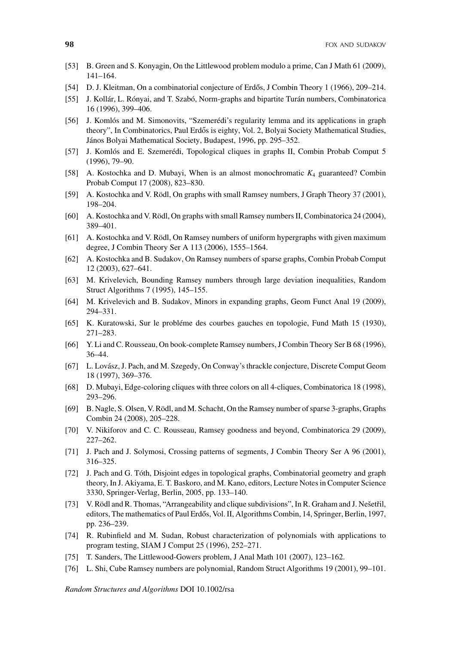- [53] B. Green and S. Konyagin, On the Littlewood problem modulo a prime, Can J Math 61 (2009), 141–164.
- [54] D. J. Kleitman, On a combinatorial conjecture of Erdős, J Combin Theory 1 (1966), 209–214.
- [55] J. Kollár, L. Rónyai, and T. Szabó, Norm-graphs and bipartite Turán numbers, Combinatorica 16 (1996), 399–406.
- [56] J. Komlós and M. Simonovits, "Szemerédi's regularity lemma and its applications in graph theory", In Combinatorics, Paul Erdős is eighty, Vol. 2, Bolyai Society Mathematical Studies, János Bolyai Mathematical Society, Budapest, 1996, pp. 295–352.
- [57] J. Komlós and E. Szemerédi, Topological cliques in graphs II, Combin Probab Comput 5 (1996), 79–90.
- [58] A. Kostochka and D. Mubayi, When is an almost monochromatic *K*<sup>4</sup> guaranteed? Combin Probab Comput 17 (2008), 823–830.
- [59] A. Kostochka and V. Rödl, On graphs with small Ramsey numbers, J Graph Theory 37 (2001), 198–204.
- [60] A. Kostochka and V. Rödl, On graphs with small Ramsey numbers II, Combinatorica 24 (2004), 389–401.
- [61] A. Kostochka and V. Rödl, On Ramsey numbers of uniform hypergraphs with given maximum degree, J Combin Theory Ser A 113 (2006), 1555–1564.
- [62] A. Kostochka and B. Sudakov, On Ramsey numbers of sparse graphs, Combin Probab Comput 12 (2003), 627–641.
- [63] M. Krivelevich, Bounding Ramsey numbers through large deviation inequalities, Random Struct Algorithms 7 (1995), 145–155.
- [64] M. Krivelevich and B. Sudakov, Minors in expanding graphs, Geom Funct Anal 19 (2009), 294–331.
- [65] K. Kuratowski, Sur le probléme des courbes gauches en topologie, Fund Math 15 (1930), 271–283.
- [66] Y. Li and C. Rousseau, On book-complete Ramsey numbers, J Combin Theory Ser B 68 (1996), 36–44.
- [67] L. Lovász, J. Pach, and M. Szegedy, On Conway's thrackle conjecture, Discrete Comput Geom 18 (1997), 369–376.
- [68] D. Mubayi, Edge-coloring cliques with three colors on all 4-cliques, Combinatorica 18 (1998), 293–296.
- [69] B. Nagle, S. Olsen, V. Rödl, and M. Schacht, On the Ramsey number of sparse 3-graphs, Graphs Combin 24 (2008), 205–228.
- [70] V. Nikiforov and C. C. Rousseau, Ramsey goodness and beyond, Combinatorica 29 (2009), 227–262.
- [71] J. Pach and J. Solymosi, Crossing patterns of segments, J Combin Theory Ser A 96 (2001), 316–325.
- [72] J. Pach and G. Tóth, Disjoint edges in topological graphs, Combinatorial geometry and graph theory, In J. Akiyama, E. T. Baskoro, and M. Kano, editors, Lecture Notes in Computer Science 3330, Springer-Verlag, Berlin, 2005, pp. 133–140.
- [73] V. Rödl and R. Thomas, "Arrangeability and clique subdivisions", In R. Graham and J. Nešetřil, editors, The mathematics of Paul Erdős, Vol. II, Algorithms Combin, 14, Springer, Berlin, 1997, pp. 236–239.
- [74] R. Rubinfield and M. Sudan, Robust characterization of polynomials with applications to program testing, SIAM J Comput 25 (1996), 252–271.
- [75] T. Sanders, The Littlewood-Gowers problem, J Anal Math 101 (2007), 123-162.
- [76] L. Shi, Cube Ramsey numbers are polynomial, Random Struct Algorithms 19 (2001), 99–101.